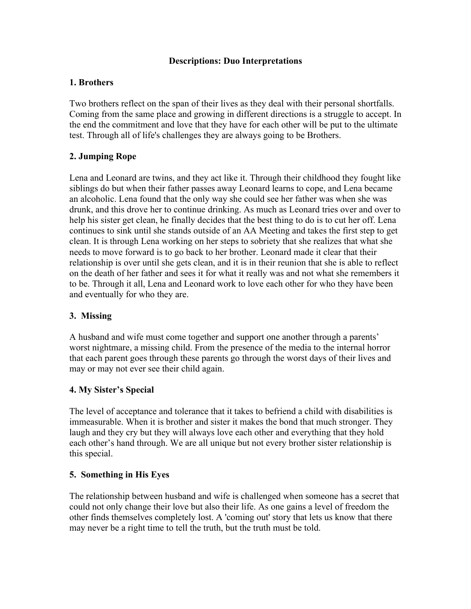## **Descriptions: Duo Interpretations**

# **1. Brothers**

Two brothers reflect on the span of their lives as they deal with their personal shortfalls. Coming from the same place and growing in different directions is a struggle to accept. In the end the commitment and love that they have for each other will be put to the ultimate test. Through all of life's challenges they are always going to be Brothers.

# **2. Jumping Rope**

Lena and Leonard are twins, and they act like it. Through their childhood they fought like siblings do but when their father passes away Leonard learns to cope, and Lena became an alcoholic. Lena found that the only way she could see her father was when she was drunk, and this drove her to continue drinking. As much as Leonard tries over and over to help his sister get clean, he finally decides that the best thing to do is to cut her off. Lena continues to sink until she stands outside of an AA Meeting and takes the first step to get clean. It is through Lena working on her steps to sobriety that she realizes that what she needs to move forward is to go back to her brother. Leonard made it clear that their relationship is over until she gets clean, and it is in their reunion that she is able to reflect on the death of her father and sees it for what it really was and not what she remembers it to be. Through it all, Lena and Leonard work to love each other for who they have been and eventually for who they are.

# **3. Missing**

A husband and wife must come together and support one another through a parents' worst nightmare, a missing child. From the presence of the media to the internal horror that each parent goes through these parents go through the worst days of their lives and may or may not ever see their child again.

# **4. My Sister's Special**

The level of acceptance and tolerance that it takes to befriend a child with disabilities is immeasurable. When it is brother and sister it makes the bond that much stronger. They laugh and they cry but they will always love each other and everything that they hold each other's hand through. We are all unique but not every brother sister relationship is this special.

# **5. Something in His Eyes**

The relationship between husband and wife is challenged when someone has a secret that could not only change their love but also their life. As one gains a level of freedom the other finds themselves completely lost. A 'coming out' story that lets us know that there may never be a right time to tell the truth, but the truth must be told.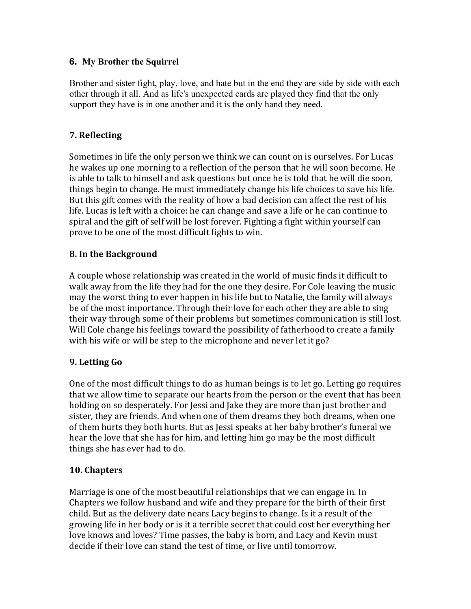# **6. My Brother the Squirrel**

Brother and sister fight, play, love, and hate but in the end they are side by side with each other through it all. And as life's unexpected cards are played they find that the only support they have is in one another and it is the only hand they need.

# **7. Reflecting**

Sometimes in life the only person we think we can count on is ourselves. For Lucas he wakes up one morning to a reflection of the person that he will soon become. He is able to talk to himself and ask questions but once he is told that he will die soon, things begin to change. He must immediately change his life choices to save his life. But this gift comes with the reality of how a bad decision can affect the rest of his life. Lucas is left with a choice: he can change and save a life or he can continue to spiral and the gift of self will be lost forever. Fighting a fight within yourself can prove to be one of the most difficult fights to win.

# **8. In the Background**

A couple whose relationship was created in the world of music finds it difficult to walk away from the life they had for the one they desire. For Cole leaving the music may the worst thing to ever happen in his life but to Natalie, the family will always be of the most importance. Through their love for each other they are able to sing their way through some of their problems but sometimes communication is still lost. Will Cole change his feelings toward the possibility of fatherhood to create a family with his wife or will be step to the microphone and never let it go?

# **9. Letting Go**

One of the most difficult things to do as human beings is to let go. Letting go requires that we allow time to separate our hearts from the person or the event that has been holding on so desperately. For Jessi and Jake they are more than just brother and sister, they are friends. And when one of them dreams they both dreams, when one of them hurts they both hurts. But as Jessi speaks at her baby brother's funeral we hear the love that she has for him, and letting him go may be the most difficult things she has ever had to do.

# **10. Chapters**

Marriage is one of the most beautiful relationships that we can engage in. In Chapters we follow husband and wife and they prepare for the birth of their first child. But as the delivery date nears Lacy begins to change. Is it a result of the growing life in her body or is it a terrible secret that could cost her everything her love knows and loves? Time passes, the baby is born, and Lacy and Kevin must decide if their love can stand the test of time, or live until tomorrow.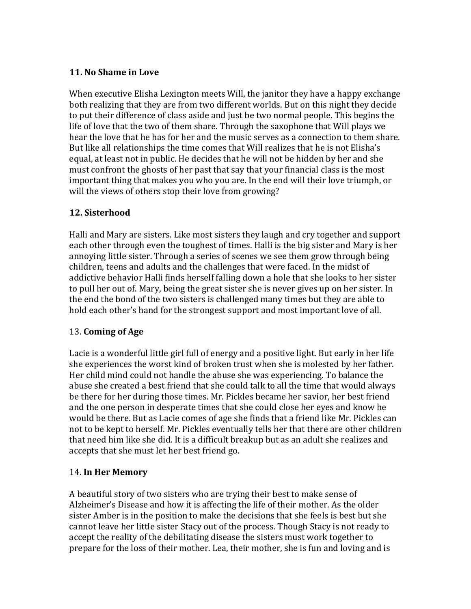# **11. No Shame in Love**

When executive Elisha Lexington meets Will, the janitor they have a happy exchange both realizing that they are from two different worlds. But on this night they decide to put their difference of class aside and just be two normal people. This begins the life of love that the two of them share. Through the saxophone that Will plays we hear the love that he has for her and the music serves as a connection to them share. But like all relationships the time comes that Will realizes that he is not Elisha's equal, at least not in public. He decides that he will not be hidden by her and she must confront the ghosts of her past that say that your financial class is the most important thing that makes you who you are. In the end will their love triumph, or will the views of others stop their love from growing?

# **12. Sisterhood**

Halli and Mary are sisters. Like most sisters they laugh and cry together and support each other through even the toughest of times. Halli is the big sister and Mary is her annoying little sister. Through a series of scenes we see them grow through being children, teens and adults and the challenges that were faced. In the midst of addictive behavior Halli finds herself falling down a hole that she looks to her sister to pull her out of. Mary, being the great sister she is never gives up on her sister. In the end the bond of the two sisters is challenged many times but they are able to hold each other's hand for the strongest support and most important love of all.

# 13. **Coming of Age**

Lacie is a wonderful little girl full of energy and a positive light. But early in her life she experiences the worst kind of broken trust when she is molested by her father. Her child mind could not handle the abuse she was experiencing. To balance the abuse she created a best friend that she could talk to all the time that would always be there for her during those times. Mr. Pickles became her savior, her best friend and the one person in desperate times that she could close her eyes and know he would be there. But as Lacie comes of age she finds that a friend like Mr. Pickles can not to be kept to herself. Mr. Pickles eventually tells her that there are other children that need him like she did. It is a difficult breakup but as an adult she realizes and accepts that she must let her best friend go.

# 14. In Her Memory

A beautiful story of two sisters who are trying their best to make sense of Alzheimer's Disease and how it is affecting the life of their mother. As the older sister Amber is in the position to make the decisions that she feels is best but she cannot leave her little sister Stacy out of the process. Though Stacy is not ready to accept the reality of the debilitating disease the sisters must work together to prepare for the loss of their mother. Lea, their mother, she is fun and loving and is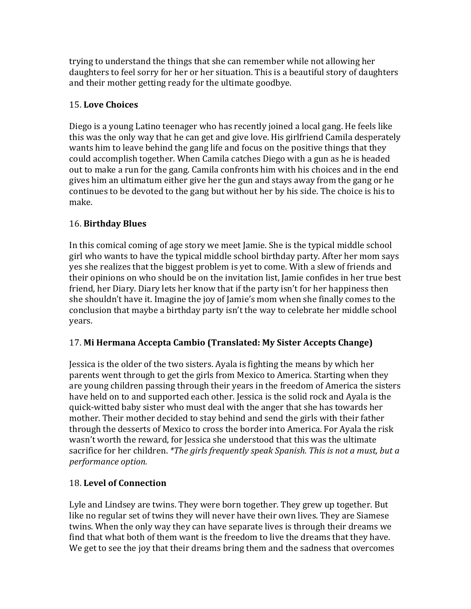trying to understand the things that she can remember while not allowing her daughters to feel sorry for her or her situation. This is a beautiful story of daughters and their mother getting ready for the ultimate goodbye.

# 15. **Love Choices**

Diego is a young Latino teenager who has recently joined a local gang. He feels like this was the only way that he can get and give love. His girlfriend Camila desperately wants him to leave behind the gang life and focus on the positive things that they could accomplish together. When Camila catches Diego with a gun as he is headed out to make a run for the gang. Camila confronts him with his choices and in the end gives him an ultimatum either give her the gun and stays away from the gang or he continues to be devoted to the gang but without her by his side. The choice is his to make.

# 16. **Birthday Blues**

In this comical coming of age story we meet Jamie. She is the typical middle school girl who wants to have the typical middle school birthday party. After her mom says yes she realizes that the biggest problem is yet to come. With a slew of friends and their opinions on who should be on the invitation list, Jamie confides in her true best friend, her Diary. Diary lets her know that if the party isn't for her happiness then she shouldn't have it. Imagine the joy of Jamie's mom when she finally comes to the conclusion that maybe a birthday party isn't the way to celebrate her middle school years. 

# 17. Mi Hermana Accepta Cambio (Translated: My Sister Accepts Change)

Jessica is the older of the two sisters. Ayala is fighting the means by which her parents went through to get the girls from Mexico to America. Starting when they are young children passing through their years in the freedom of America the sisters have held on to and supported each other. Jessica is the solid rock and Ayala is the quick-witted baby sister who must deal with the anger that she has towards her mother. Their mother decided to stay behind and send the girls with their father through the desserts of Mexico to cross the border into America. For Ayala the risk wasn't worth the reward, for Jessica she understood that this was the ultimate sacrifice for her children. *\*The girls frequently speak Spanish. This is not a must, but a performance option.* 

# 18. **Level of Connection**

Lyle and Lindsey are twins. They were born together. They grew up together. But like no regular set of twins they will never have their own lives. They are Siamese twins. When the only way they can have separate lives is through their dreams we find that what both of them want is the freedom to live the dreams that they have. We get to see the joy that their dreams bring them and the sadness that overcomes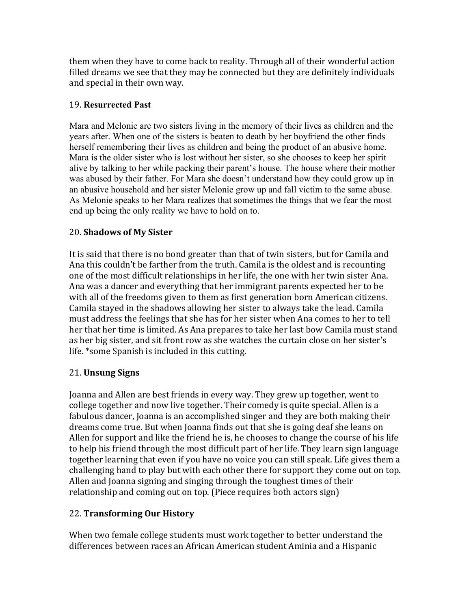them when they have to come back to reality. Through all of their wonderful action filled dreams we see that they may be connected but they are definitely individuals and special in their own way.

# 19. **Resurrected Past**

Mara and Melonie are two sisters living in the memory of their lives as children and the years after. When one of the sisters is beaten to death by her boyfriend the other finds herself remembering their lives as children and being the product of an abusive home. Mara is the older sister who is lost without her sister, so she chooses to keep her spirit alive by talking to her while packing their parent's house. The house where their mother was abused by their father. For Mara she doesn't understand how they could grow up in an abusive household and her sister Melonie grow up and fall victim to the same abuse. As Melonie speaks to her Mara realizes that sometimes the things that we fear the most end up being the only reality we have to hold on to.

# 20. **Shadows of My Sister**

It is said that there is no bond greater than that of twin sisters, but for Camila and Ana this couldn't be farther from the truth. Camila is the oldest and is recounting one of the most difficult relationships in her life, the one with her twin sister Ana. Ana was a dancer and everything that her immigrant parents expected her to be with all of the freedoms given to them as first generation born American citizens. Camila stayed in the shadows allowing her sister to always take the lead. Camila must address the feelings that she has for her sister when Ana comes to her to tell her that her time is limited. As Ana prepares to take her last bow Camila must stand as her big sister, and sit front row as she watches the curtain close on her sister's life. \*some Spanish is included in this cutting.

# 21. **Unsung Signs**

Joanna and Allen are best friends in every way. They grew up together, went to college together and now live together. Their comedy is quite special. Allen is a fabulous dancer, Joanna is an accomplished singer and they are both making their dreams come true. But when Joanna finds out that she is going deaf she leans on Allen for support and like the friend he is, he chooses to change the course of his life to help his friend through the most difficult part of her life. They learn sign language together learning that even if you have no voice you can still speak. Life gives them a challenging hand to play but with each other there for support they come out on top. Allen and Joanna signing and singing through the toughest times of their relationship and coming out on top. (Piece requires both actors sign)

# 22. **Transforming Our History**

When two female college students must work together to better understand the differences between races an African American student Aminia and a Hispanic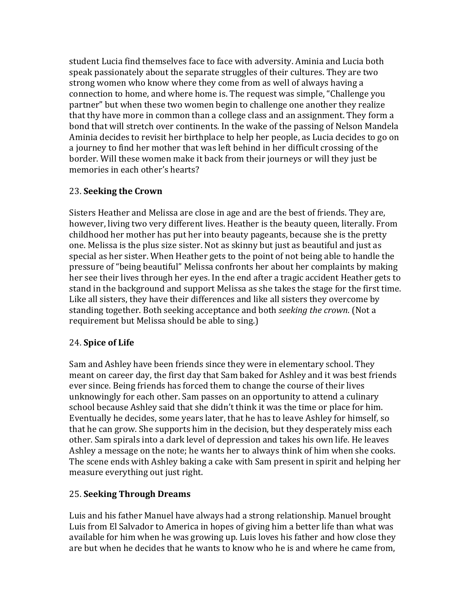student Lucia find themselves face to face with adversity. Aminia and Lucia both speak passionately about the separate struggles of their cultures. They are two strong women who know where they come from as well of always having a connection to home, and where home is. The request was simple, "Challenge you partner" but when these two women begin to challenge one another they realize that thy have more in common than a college class and an assignment. They form a bond that will stretch over continents. In the wake of the passing of Nelson Mandela Aminia decides to revisit her birthplace to help her people, as Lucia decides to go on a journey to find her mother that was left behind in her difficult crossing of the border. Will these women make it back from their journeys or will they just be memories in each other's hearts?

# 23. **Seeking the Crown**

Sisters Heather and Melissa are close in age and are the best of friends. They are, however, living two very different lives. Heather is the beauty queen, literally. From childhood her mother has put her into beauty pageants, because she is the pretty one. Melissa is the plus size sister. Not as skinny but just as beautiful and just as special as her sister. When Heather gets to the point of not being able to handle the pressure of "being beautiful" Melissa confronts her about her complaints by making her see their lives through her eyes. In the end after a tragic accident Heather gets to stand in the background and support Melissa as she takes the stage for the first time. Like all sisters, they have their differences and like all sisters they overcome by standing together. Both seeking acceptance and both *seeking the crown*. (Not a requirement but Melissa should be able to sing.)

# 24. **Spice of Life**

Sam and Ashley have been friends since they were in elementary school. They meant on career day, the first day that Sam baked for Ashley and it was best friends ever since. Being friends has forced them to change the course of their lives unknowingly for each other. Sam passes on an opportunity to attend a culinary school because Ashley said that she didn't think it was the time or place for him. Eventually he decides, some years later, that he has to leave Ashley for himself, so that he can grow. She supports him in the decision, but they desperately miss each other. Sam spirals into a dark level of depression and takes his own life. He leaves Ashley a message on the note; he wants her to always think of him when she cooks. The scene ends with Ashley baking a cake with Sam present in spirit and helping her measure everything out just right.

# 25. **Seeking Through Dreams**

Luis and his father Manuel have always had a strong relationship. Manuel brought Luis from El Salvador to America in hopes of giving him a better life than what was available for him when he was growing up. Luis loves his father and how close they are but when he decides that he wants to know who he is and where he came from,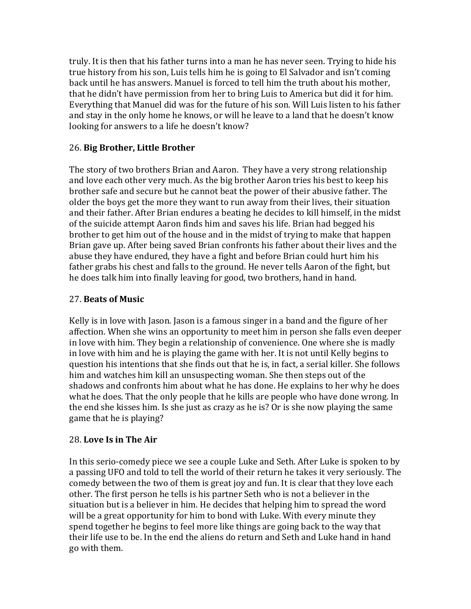truly. It is then that his father turns into a man he has never seen. Trying to hide his true history from his son, Luis tells him he is going to El Salvador and isn't coming back until he has answers. Manuel is forced to tell him the truth about his mother, that he didn't have permission from her to bring Luis to America but did it for him. Everything that Manuel did was for the future of his son. Will Luis listen to his father and stay in the only home he knows, or will he leave to a land that he doesn't know looking for answers to a life he doesn't know?

# 26. **Big Brother, Little Brother**

The story of two brothers Brian and Aaron. They have a very strong relationship and love each other very much. As the big brother Aaron tries his best to keep his brother safe and secure but he cannot beat the power of their abusive father. The older the boys get the more they want to run away from their lives, their situation and their father. After Brian endures a beating he decides to kill himself, in the midst of the suicide attempt Aaron finds him and saves his life. Brian had begged his brother to get him out of the house and in the midst of trying to make that happen Brian gave up. After being saved Brian confronts his father about their lives and the abuse they have endured, they have a fight and before Brian could hurt him his father grabs his chest and falls to the ground. He never tells Aaron of the fight, but he does talk him into finally leaving for good, two brothers, hand in hand.

# 27. **Beats of Music**

Kelly is in love with Jason. Jason is a famous singer in a band and the figure of her affection. When she wins an opportunity to meet him in person she falls even deeper in love with him. They begin a relationship of convenience. One where she is madly in love with him and he is playing the game with her. It is not until Kelly begins to question his intentions that she finds out that he is, in fact, a serial killer. She follows him and watches him kill an unsuspecting woman. She then steps out of the shadows and confronts him about what he has done. He explains to her why he does what he does. That the only people that he kills are people who have done wrong. In the end she kisses him. Is she just as crazy as he is? Or is she now playing the same game that he is playing?

# 28. **Love Is in The Air**

In this serio-comedy piece we see a couple Luke and Seth. After Luke is spoken to by a passing UFO and told to tell the world of their return he takes it very seriously. The comedy between the two of them is great joy and fun. It is clear that they love each other. The first person he tells is his partner Seth who is not a believer in the situation but is a believer in him. He decides that helping him to spread the word will be a great opportunity for him to bond with Luke. With every minute they spend together he begins to feel more like things are going back to the way that their life use to be. In the end the aliens do return and Seth and Luke hand in hand go with them.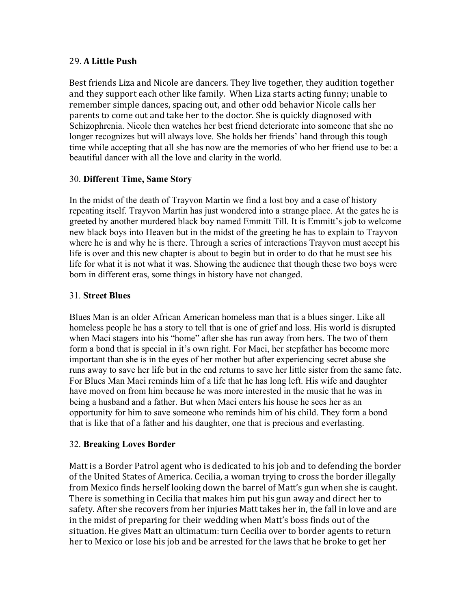# 29. **A Little Push**

Best friends Liza and Nicole are dancers. They live together, they audition together and they support each other like family. When Liza starts acting funny; unable to remember simple dances, spacing out, and other odd behavior Nicole calls her parents to come out and take her to the doctor. She is quickly diagnosed with Schizophrenia. Nicole then watches her best friend deteriorate into someone that she no longer recognizes but will always love. She holds her friends' hand through this tough time while accepting that all she has now are the memories of who her friend use to be: a beautiful dancer with all the love and clarity in the world.

# 30. **Different Time, Same Story**

In the midst of the death of Trayvon Martin we find a lost boy and a case of history repeating itself. Trayvon Martin has just wondered into a strange place. At the gates he is greeted by another murdered black boy named Emmitt Till. It is Emmitt's job to welcome new black boys into Heaven but in the midst of the greeting he has to explain to Trayvon where he is and why he is there. Through a series of interactions Trayvon must accept his life is over and this new chapter is about to begin but in order to do that he must see his life for what it is not what it was. Showing the audience that though these two boys were born in different eras, some things in history have not changed.

# 31. **Street Blues**

Blues Man is an older African American homeless man that is a blues singer. Like all homeless people he has a story to tell that is one of grief and loss. His world is disrupted when Maci stagers into his "home" after she has run away from hers. The two of them form a bond that is special in it's own right. For Maci, her stepfather has become more important than she is in the eyes of her mother but after experiencing secret abuse she runs away to save her life but in the end returns to save her little sister from the same fate. For Blues Man Maci reminds him of a life that he has long left. His wife and daughter have moved on from him because he was more interested in the music that he was in being a husband and a father. But when Maci enters his house he sees her as an opportunity for him to save someone who reminds him of his child. They form a bond that is like that of a father and his daughter, one that is precious and everlasting.

# 32. **Breaking Loves Border**

Matt is a Border Patrol agent who is dedicated to his job and to defending the border of the United States of America. Cecilia, a woman trying to cross the border illegally from Mexico finds herself looking down the barrel of Matt's gun when she is caught. There is something in Cecilia that makes him put his gun away and direct her to safety. After she recovers from her injuries Matt takes her in, the fall in love and are in the midst of preparing for their wedding when Matt's boss finds out of the situation. He gives Matt an ultimatum: turn Cecilia over to border agents to return her to Mexico or lose his job and be arrested for the laws that he broke to get her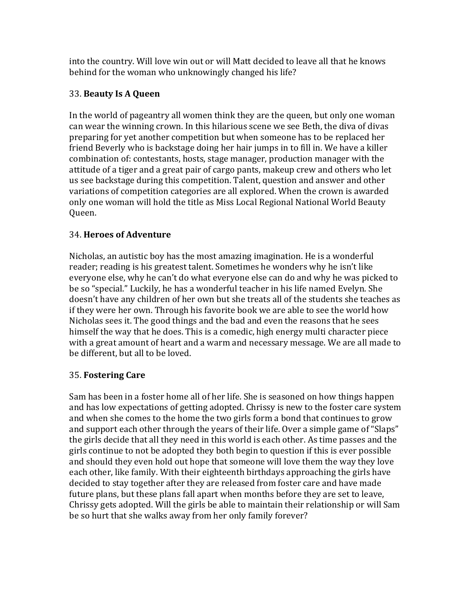into the country. Will love win out or will Matt decided to leave all that he knows behind for the woman who unknowingly changed his life?

# 33. **Beauty Is A Queen**

In the world of pageantry all women think they are the queen, but only one woman can wear the winning crown. In this hilarious scene we see Beth, the diva of divas preparing for yet another competition but when someone has to be replaced her friend Beverly who is backstage doing her hair jumps in to fill in. We have a killer combination of: contestants, hosts, stage manager, production manager with the attitude of a tiger and a great pair of cargo pants, makeup crew and others who let us see backstage during this competition. Talent, question and answer and other variations of competition categories are all explored. When the crown is awarded only one woman will hold the title as Miss Local Regional National World Beauty Queen.

# 34. **Heroes of Adventure**

Nicholas, an autistic boy has the most amazing imagination. He is a wonderful reader; reading is his greatest talent. Sometimes he wonders why he isn't like everyone else, why he can't do what everyone else can do and why he was picked to be so "special." Luckily, he has a wonderful teacher in his life named Evelyn. She doesn't have any children of her own but she treats all of the students she teaches as if they were her own. Through his favorite book we are able to see the world how Nicholas sees it. The good things and the bad and even the reasons that he sees himself the way that he does. This is a comedic, high energy multi character piece with a great amount of heart and a warm and necessary message. We are all made to be different, but all to be loved.

# 35. **Fostering Care**

Sam has been in a foster home all of her life. She is seasoned on how things happen and has low expectations of getting adopted. Chrissy is new to the foster care system and when she comes to the home the two girls form a bond that continues to grow and support each other through the years of their life. Over a simple game of "Slaps" the girls decide that all they need in this world is each other. As time passes and the girls continue to not be adopted they both begin to question if this is ever possible and should they even hold out hope that someone will love them the way they love each other, like family. With their eighteenth birthdays approaching the girls have decided to stay together after they are released from foster care and have made future plans, but these plans fall apart when months before they are set to leave, Chrissy gets adopted. Will the girls be able to maintain their relationship or will Sam be so hurt that she walks away from her only family forever?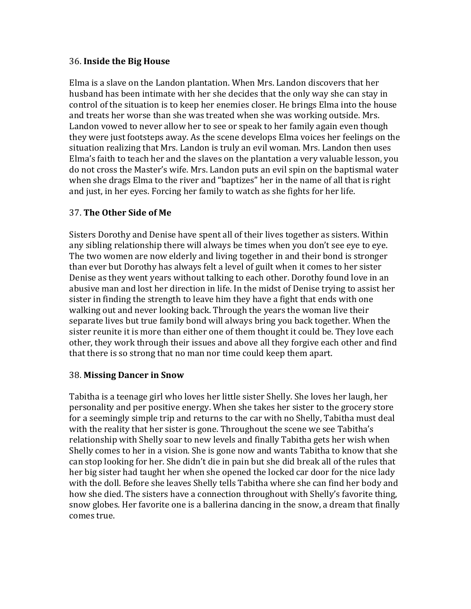## 36. **Inside the Big House**

Elma is a slave on the Landon plantation. When Mrs. Landon discovers that her husband has been intimate with her she decides that the only way she can stay in control of the situation is to keep her enemies closer. He brings Elma into the house and treats her worse than she was treated when she was working outside. Mrs. Landon vowed to never allow her to see or speak to her family again even though they were just footsteps away. As the scene develops Elma voices her feelings on the situation realizing that Mrs. Landon is truly an evil woman. Mrs. Landon then uses Elma's faith to teach her and the slaves on the plantation a very valuable lesson, you do not cross the Master's wife. Mrs. Landon puts an evil spin on the baptismal water when she drags Elma to the river and "baptizes" her in the name of all that is right and just, in her eyes. Forcing her family to watch as she fights for her life.

# 37. **The Other Side of Me**

Sisters Dorothy and Denise have spent all of their lives together as sisters. Within any sibling relationship there will always be times when you don't see eye to eye. The two women are now elderly and living together in and their bond is stronger than ever but Dorothy has always felt a level of guilt when it comes to her sister Denise as they went years without talking to each other. Dorothy found love in an abusive man and lost her direction in life. In the midst of Denise trying to assist her sister in finding the strength to leave him they have a fight that ends with one walking out and never looking back. Through the years the woman live their separate lives but true family bond will always bring you back together. When the sister reunite it is more than either one of them thought it could be. They love each other, they work through their issues and above all they forgive each other and find that there is so strong that no man nor time could keep them apart.

### 38. **Missing Dancer in Snow**

Tabitha is a teenage girl who loves her little sister Shelly. She loves her laugh, her personality and per positive energy. When she takes her sister to the grocery store for a seemingly simple trip and returns to the car with no Shelly, Tabitha must deal with the reality that her sister is gone. Throughout the scene we see Tabitha's relationship with Shelly soar to new levels and finally Tabitha gets her wish when Shelly comes to her in a vision. She is gone now and wants Tabitha to know that she can stop looking for her. She didn't die in pain but she did break all of the rules that her big sister had taught her when she opened the locked car door for the nice lady with the doll. Before she leaves Shelly tells Tabitha where she can find her body and how she died. The sisters have a connection throughout with Shelly's favorite thing, snow globes. Her favorite one is a ballerina dancing in the snow, a dream that finally comes true.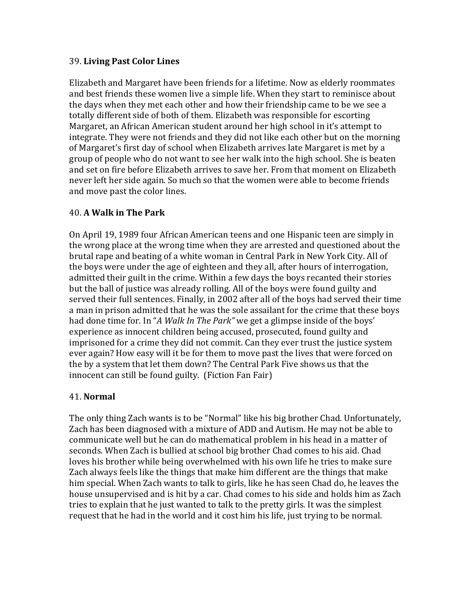## 39. **Living Past Color Lines**

Elizabeth and Margaret have been friends for a lifetime. Now as elderly roommates and best friends these women live a simple life. When they start to reminisce about the days when they met each other and how their friendship came to be we see a totally different side of both of them. Elizabeth was responsible for escorting Margaret, an African American student around her high school in it's attempt to integrate. They were not friends and they did not like each other but on the morning of Margaret's first day of school when Elizabeth arrives late Margaret is met by a group of people who do not want to see her walk into the high school. She is beaten and set on fire before Elizabeth arrives to save her. From that moment on Elizabeth never left her side again. So much so that the women were able to become friends and move past the color lines.

# 40. **A Walk in The Park**

On April 19, 1989 four African American teens and one Hispanic teen are simply in the wrong place at the wrong time when they are arrested and questioned about the brutal rape and beating of a white woman in Central Park in New York City. All of the boys were under the age of eighteen and they all, after hours of interrogation, admitted their guilt in the crime. Within a few days the boys recanted their stories but the ball of justice was already rolling. All of the boys were found guilty and served their full sentences. Finally, in 2002 after all of the boys had served their time a man in prison admitted that he was the sole assailant for the crime that these boys had done time for. In "A Walk In The Park" we get a glimpse inside of the boys' experience as innocent children being accused, prosecuted, found guilty and imprisoned for a crime they did not commit. Can they ever trust the justice system ever again? How easy will it be for them to move past the lives that were forced on the by a system that let them down? The Central Park Five shows us that the innocent can still be found guilty. (Fiction Fan Fair)

### 41. **Normal**

The only thing Zach wants is to be "Normal" like his big brother Chad. Unfortunately, Zach has been diagnosed with a mixture of ADD and Autism. He may not be able to communicate well but he can do mathematical problem in his head in a matter of seconds. When Zach is bullied at school big brother Chad comes to his aid. Chad loves his brother while being overwhelmed with his own life he tries to make sure Zach always feels like the things that make him different are the things that make him special. When Zach wants to talk to girls, like he has seen Chad do, he leaves the house unsupervised and is hit by a car. Chad comes to his side and holds him as Zach tries to explain that he just wanted to talk to the pretty girls. It was the simplest request that he had in the world and it cost him his life, just trying to be normal.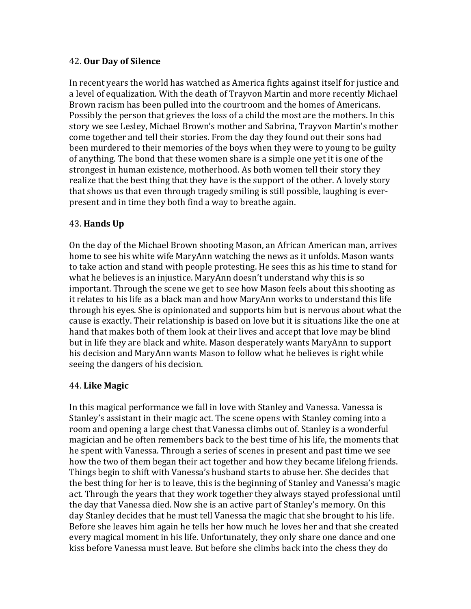### 42. **Our Day of Silence**

In recent years the world has watched as America fights against itself for justice and a level of equalization. With the death of Trayvon Martin and more recently Michael Brown racism has been pulled into the courtroom and the homes of Americans. Possibly the person that grieves the loss of a child the most are the mothers. In this story we see Lesley, Michael Brown's mother and Sabrina, Trayvon Martin's mother come together and tell their stories. From the day they found out their sons had been murdered to their memories of the boys when they were to young to be guilty of anything. The bond that these women share is a simple one yet it is one of the strongest in human existence, motherhood. As both women tell their story they realize that the best thing that they have is the support of the other. A lovely story that shows us that even through tragedy smiling is still possible, laughing is everpresent and in time they both find a way to breathe again.

# 43. **Hands Up**

On the day of the Michael Brown shooting Mason, an African American man, arrives home to see his white wife MaryAnn watching the news as it unfolds. Mason wants to take action and stand with people protesting. He sees this as his time to stand for what he believes is an injustice. MaryAnn doesn't understand why this is so important. Through the scene we get to see how Mason feels about this shooting as it relates to his life as a black man and how MaryAnn works to understand this life through his eyes. She is opinionated and supports him but is nervous about what the cause is exactly. Their relationship is based on love but it is situations like the one at hand that makes both of them look at their lives and accept that love may be blind but in life they are black and white. Mason desperately wants MaryAnn to support his decision and MaryAnn wants Mason to follow what he believes is right while seeing the dangers of his decision.

### 44. **Like Magic**

In this magical performance we fall in love with Stanley and Vanessa. Vanessa is Stanley's assistant in their magic act. The scene opens with Stanley coming into a room and opening a large chest that Vanessa climbs out of. Stanley is a wonderful magician and he often remembers back to the best time of his life, the moments that he spent with Vanessa. Through a series of scenes in present and past time we see how the two of them began their act together and how they became lifelong friends. Things begin to shift with Vanessa's husband starts to abuse her. She decides that the best thing for her is to leave, this is the beginning of Stanley and Vanessa's magic act. Through the years that they work together they always stayed professional until the day that Vanessa died. Now she is an active part of Stanley's memory. On this day Stanley decides that he must tell Vanessa the magic that she brought to his life. Before she leaves him again he tells her how much he loves her and that she created every magical moment in his life. Unfortunately, they only share one dance and one kiss before Vanessa must leave. But before she climbs back into the chess they do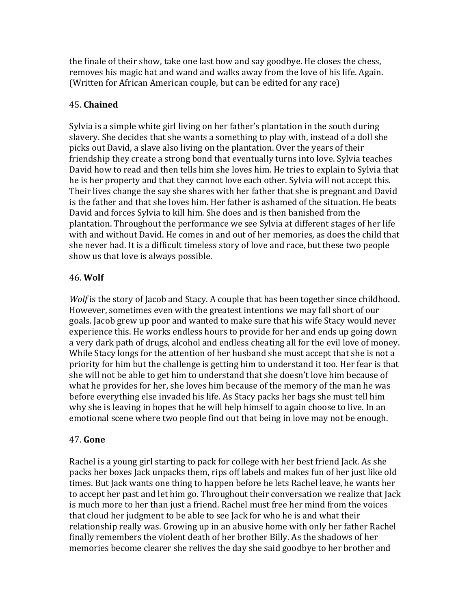the finale of their show, take one last bow and say goodbye. He closes the chess, removes his magic hat and wand and walks away from the love of his life. Again. (Written for African American couple, but can be edited for any race)

## 45. **Chained**

Sylvia is a simple white girl living on her father's plantation in the south during slavery. She decides that she wants a something to play with, instead of a doll she picks out David, a slave also living on the plantation. Over the years of their friendship they create a strong bond that eventually turns into love. Sylvia teaches David how to read and then tells him she loves him. He tries to explain to Sylvia that he is her property and that they cannot love each other. Sylvia will not accept this. Their lives change the say she shares with her father that she is pregnant and David is the father and that she loves him. Her father is ashamed of the situation. He beats David and forces Sylvia to kill him. She does and is then banished from the plantation. Throughout the performance we see Sylvia at different stages of her life with and without David. He comes in and out of her memories, as does the child that she never had. It is a difficult timeless story of love and race, but these two people show us that love is always possible.

### 46. **Wolf**

*Wolf* is the story of Jacob and Stacy. A couple that has been together since childhood. However, sometimes even with the greatest intentions we may fall short of our goals. Jacob grew up poor and wanted to make sure that his wife Stacy would never experience this. He works endless hours to provide for her and ends up going down a very dark path of drugs, alcohol and endless cheating all for the evil love of money. While Stacy longs for the attention of her husband she must accept that she is not a priority for him but the challenge is getting him to understand it too. Her fear is that she will not be able to get him to understand that she doesn't love him because of what he provides for her, she loves him because of the memory of the man he was before everything else invaded his life. As Stacy packs her bags she must tell him why she is leaving in hopes that he will help himself to again choose to live. In an emotional scene where two people find out that being in love may not be enough.

### 47. **Gone**

Rachel is a young girl starting to pack for college with her best friend Jack. As she packs her boxes Jack unpacks them, rips off labels and makes fun of her just like old times. But Jack wants one thing to happen before he lets Rachel leave, he wants her to accept her past and let him go. Throughout their conversation we realize that Jack is much more to her than just a friend. Rachel must free her mind from the voices that cloud her judgment to be able to see Jack for who he is and what their relationship really was. Growing up in an abusive home with only her father Rachel finally remembers the violent death of her brother Billy. As the shadows of her memories become clearer she relives the day she said goodbye to her brother and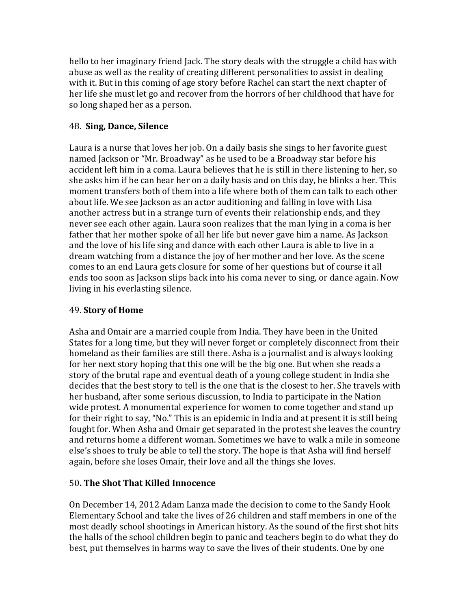hello to her imaginary friend Jack. The story deals with the struggle a child has with abuse as well as the reality of creating different personalities to assist in dealing with it. But in this coming of age story before Rachel can start the next chapter of her life she must let go and recover from the horrors of her childhood that have for so long shaped her as a person.

# 48. **Sing, Dance, Silence**

Laura is a nurse that loves her job. On a daily basis she sings to her favorite guest named Jackson or "Mr. Broadway" as he used to be a Broadway star before his accident left him in a coma. Laura believes that he is still in there listening to her, so she asks him if he can hear her on a daily basis and on this day, he blinks a her. This moment transfers both of them into a life where both of them can talk to each other about life. We see Jackson as an actor auditioning and falling in love with Lisa another actress but in a strange turn of events their relationship ends, and they never see each other again. Laura soon realizes that the man lying in a coma is her father that her mother spoke of all her life but never gave him a name. As Jackson and the love of his life sing and dance with each other Laura is able to live in a dream watching from a distance the joy of her mother and her love. As the scene comes to an end Laura gets closure for some of her questions but of course it all ends too soon as Jackson slips back into his coma never to sing, or dance again. Now living in his everlasting silence.

# 49. **Story of Home**

Asha and Omair are a married couple from India. They have been in the United States for a long time, but they will never forget or completely disconnect from their homeland as their families are still there. Asha is a journalist and is always looking for her next story hoping that this one will be the big one. But when she reads a story of the brutal rape and eventual death of a young college student in India she decides that the best story to tell is the one that is the closest to her. She travels with her husband, after some serious discussion, to India to participate in the Nation wide protest. A monumental experience for women to come together and stand up for their right to say, "No." This is an epidemic in India and at present it is still being fought for. When Asha and Omair get separated in the protest she leaves the country and returns home a different woman. Sometimes we have to walk a mile in someone else's shoes to truly be able to tell the story. The hope is that Asha will find herself again, before she loses Omair, their love and all the things she loves.

# 50**. The Shot That Killed Innocence**

On December 14, 2012 Adam Lanza made the decision to come to the Sandy Hook Elementary School and take the lives of 26 children and staff members in one of the most deadly school shootings in American history. As the sound of the first shot hits the halls of the school children begin to panic and teachers begin to do what they do best, put themselves in harms way to save the lives of their students. One by one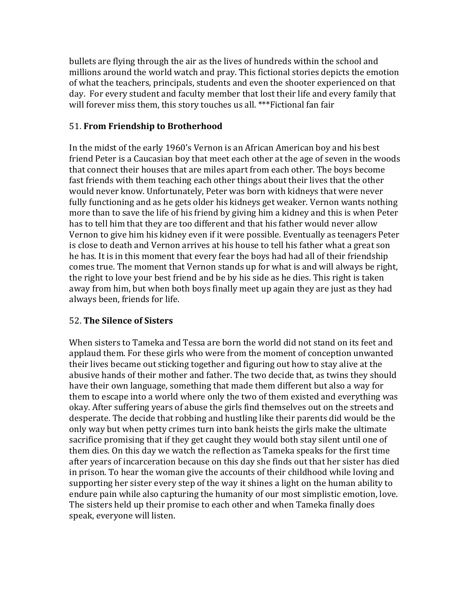bullets are flying through the air as the lives of hundreds within the school and millions around the world watch and pray. This fictional stories depicts the emotion of what the teachers, principals, students and even the shooter experienced on that day. For every student and faculty member that lost their life and every family that will forever miss them, this story touches us all. \*\*\*Fictional fan fair

## 51. **From Friendship to Brotherhood**

In the midst of the early 1960's Vernon is an African American boy and his best friend Peter is a Caucasian boy that meet each other at the age of seven in the woods that connect their houses that are miles apart from each other. The boys become fast friends with them teaching each other things about their lives that the other would never know. Unfortunately, Peter was born with kidneys that were never fully functioning and as he gets older his kidneys get weaker. Vernon wants nothing more than to save the life of his friend by giving him a kidney and this is when Peter has to tell him that they are too different and that his father would never allow Vernon to give him his kidney even if it were possible. Eventually as teenagers Peter is close to death and Vernon arrives at his house to tell his father what a great son he has. It is in this moment that every fear the boys had had all of their friendship comes true. The moment that Vernon stands up for what is and will always be right, the right to love your best friend and be by his side as he dies. This right is taken away from him, but when both boys finally meet up again they are just as they had always been, friends for life.

# 52. **The Silence of Sisters**

When sisters to Tameka and Tessa are born the world did not stand on its feet and applaud them. For these girls who were from the moment of conception unwanted their lives became out sticking together and figuring out how to stay alive at the abusive hands of their mother and father. The two decide that, as twins they should have their own language, something that made them different but also a way for them to escape into a world where only the two of them existed and everything was okay. After suffering years of abuse the girls find themselves out on the streets and desperate. The decide that robbing and hustling like their parents did would be the only way but when petty crimes turn into bank heists the girls make the ultimate sacrifice promising that if they get caught they would both stay silent until one of them dies. On this day we watch the reflection as Tameka speaks for the first time after years of incarceration because on this day she finds out that her sister has died in prison. To hear the woman give the accounts of their childhood while loving and supporting her sister every step of the way it shines a light on the human ability to endure pain while also capturing the humanity of our most simplistic emotion, love. The sisters held up their promise to each other and when Tameka finally does speak, everyone will listen.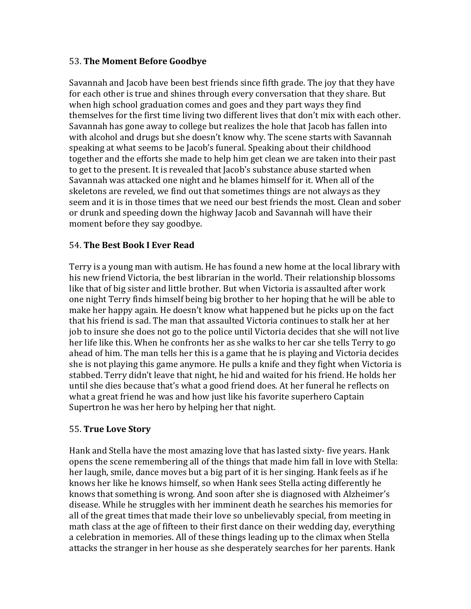# 53. **The Moment Before Goodbye**

Savannah and Jacob have been best friends since fifth grade. The joy that they have for each other is true and shines through every conversation that they share. But when high school graduation comes and goes and they part ways they find themselves for the first time living two different lives that don't mix with each other. Savannah has gone away to college but realizes the hole that Jacob has fallen into with alcohol and drugs but she doesn't know why. The scene starts with Savannah speaking at what seems to be Jacob's funeral. Speaking about their childhood together and the efforts she made to help him get clean we are taken into their past to get to the present. It is revealed that Jacob's substance abuse started when Savannah was attacked one night and he blames himself for it. When all of the skeletons are reveled, we find out that sometimes things are not always as they seem and it is in those times that we need our best friends the most. Clean and sober or drunk and speeding down the highway Jacob and Savannah will have their moment before they say goodbye.

# 54. **The Best Book I Ever Read**

Terry is a young man with autism. He has found a new home at the local library with his new friend Victoria, the best librarian in the world. Their relationship blossoms like that of big sister and little brother. But when Victoria is assaulted after work one night Terry finds himself being big brother to her hoping that he will be able to make her happy again. He doesn't know what happened but he picks up on the fact that his friend is sad. The man that assaulted Victoria continues to stalk her at her job to insure she does not go to the police until Victoria decides that she will not live her life like this. When he confronts her as she walks to her car she tells Terry to go ahead of him. The man tells her this is a game that he is playing and Victoria decides she is not playing this game anymore. He pulls a knife and they fight when Victoria is stabbed. Terry didn't leave that night, he hid and waited for his friend. He holds her until she dies because that's what a good friend does. At her funeral he reflects on what a great friend he was and how just like his favorite superhero Captain Supertron he was her hero by helping her that night.

# 55. **True Love Story**

Hank and Stella have the most amazing love that has lasted sixty- five years. Hank opens the scene remembering all of the things that made him fall in love with Stella: her laugh, smile, dance moves but a big part of it is her singing. Hank feels as if he knows her like he knows himself, so when Hank sees Stella acting differently he knows that something is wrong. And soon after she is diagnosed with Alzheimer's disease. While he struggles with her imminent death he searches his memories for all of the great times that made their love so unbelievably special, from meeting in math class at the age of fifteen to their first dance on their wedding day, everything a celebration in memories. All of these things leading up to the climax when Stella attacks the stranger in her house as she desperately searches for her parents. Hank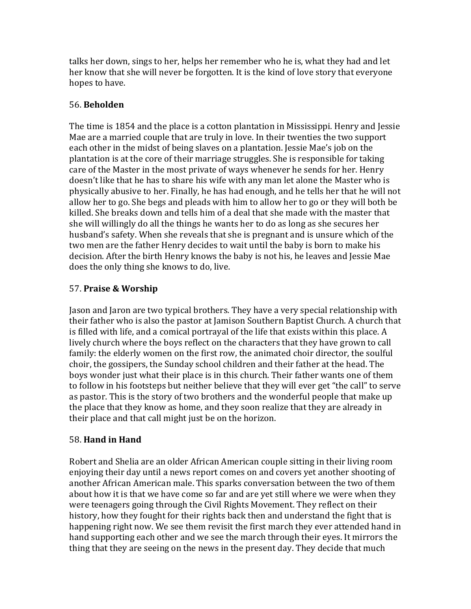talks her down, sings to her, helps her remember who he is, what they had and let her know that she will never be forgotten. It is the kind of love story that everyone hopes to have.

# 56. **Beholden**

The time is 1854 and the place is a cotton plantation in Mississippi. Henry and Jessie Mae are a married couple that are truly in love. In their twenties the two support each other in the midst of being slaves on a plantation. Jessie Mae's job on the plantation is at the core of their marriage struggles. She is responsible for taking care of the Master in the most private of ways whenever he sends for her. Henry doesn't like that he has to share his wife with any man let alone the Master who is physically abusive to her. Finally, he has had enough, and he tells her that he will not allow her to go. She begs and pleads with him to allow her to go or they will both be killed. She breaks down and tells him of a deal that she made with the master that she will willingly do all the things he wants her to do as long as she secures her husband's safety. When she reveals that she is pregnant and is unsure which of the two men are the father Henry decides to wait until the baby is born to make his decision. After the birth Henry knows the baby is not his, he leaves and Jessie Mae does the only thing she knows to do, live.

# 57. **Praise & Worship**

Jason and Jaron are two typical brothers. They have a very special relationship with their father who is also the pastor at Jamison Southern Baptist Church. A church that is filled with life, and a comical portrayal of the life that exists within this place. A lively church where the boys reflect on the characters that they have grown to call family: the elderly women on the first row, the animated choir director, the soulful choir, the gossipers, the Sunday school children and their father at the head. The boys wonder just what their place is in this church. Their father wants one of them to follow in his footsteps but neither believe that they will ever get "the call" to serve as pastor. This is the story of two brothers and the wonderful people that make up the place that they know as home, and they soon realize that they are already in their place and that call might just be on the horizon.

# 58. **Hand in Hand**

Robert and Shelia are an older African American couple sitting in their living room enjoving their day until a news report comes on and covers yet another shooting of another African American male. This sparks conversation between the two of them about how it is that we have come so far and are yet still where we were when they were teenagers going through the Civil Rights Movement. They reflect on their history, how they fought for their rights back then and understand the fight that is happening right now. We see them revisit the first march they ever attended hand in hand supporting each other and we see the march through their eyes. It mirrors the thing that they are seeing on the news in the present day. They decide that much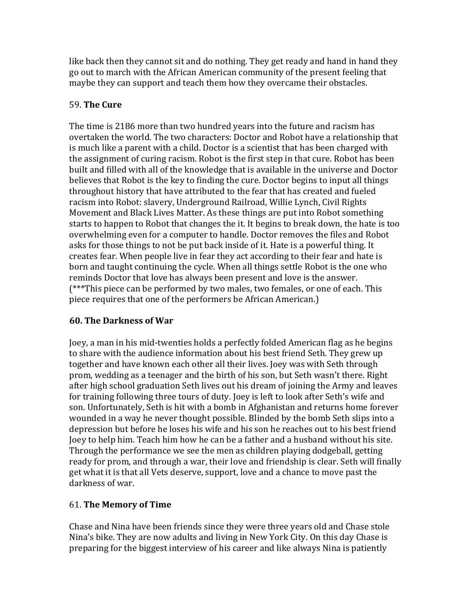like back then they cannot sit and do nothing. They get ready and hand in hand they go out to march with the African American community of the present feeling that maybe they can support and teach them how they overcame their obstacles.

# 59. **The Cure**

The time is 2186 more than two hundred years into the future and racism has overtaken the world. The two characters: Doctor and Robot have a relationship that is much like a parent with a child. Doctor is a scientist that has been charged with the assignment of curing racism. Robot is the first step in that cure. Robot has been built and filled with all of the knowledge that is available in the universe and Doctor believes that Robot is the key to finding the cure. Doctor begins to input all things throughout history that have attributed to the fear that has created and fueled racism into Robot: slavery, Underground Railroad, Willie Lynch, Civil Rights Movement and Black Lives Matter. As these things are put into Robot something starts to happen to Robot that changes the it. It begins to break down, the hate is too overwhelming even for a computer to handle. Doctor removes the files and Robot asks for those things to not be put back inside of it. Hate is a powerful thing. It creates fear. When people live in fear they act according to their fear and hate is born and taught continuing the cycle. When all things settle Robot is the one who reminds Doctor that love has always been present and love is the answer.  $(***$ This piece can be performed by two males, two females, or one of each. This piece requires that one of the performers be African American.)

# **60. The Darkness of War**

Joey, a man in his mid-twenties holds a perfectly folded American flag as he begins to share with the audience information about his best friend Seth. They grew up together and have known each other all their lives. Joey was with Seth through prom, wedding as a teenager and the birth of his son, but Seth wasn't there. Right after high school graduation Seth lives out his dream of joining the Army and leaves for training following three tours of duty. Joey is left to look after Seth's wife and son. Unfortunately, Seth is hit with a bomb in Afghanistan and returns home forever wounded in a way he never thought possible. Blinded by the bomb Seth slips into a depression but before he loses his wife and his son he reaches out to his best friend Joey to help him. Teach him how he can be a father and a husband without his site. Through the performance we see the men as children playing dodgeball, getting ready for prom, and through a war, their love and friendship is clear. Seth will finally get what it is that all Vets deserve, support, love and a chance to move past the darkness of war.

# 61. **The Memory of Time**

Chase and Nina have been friends since they were three years old and Chase stole Nina's bike. They are now adults and living in New York City. On this day Chase is preparing for the biggest interview of his career and like always Nina is patiently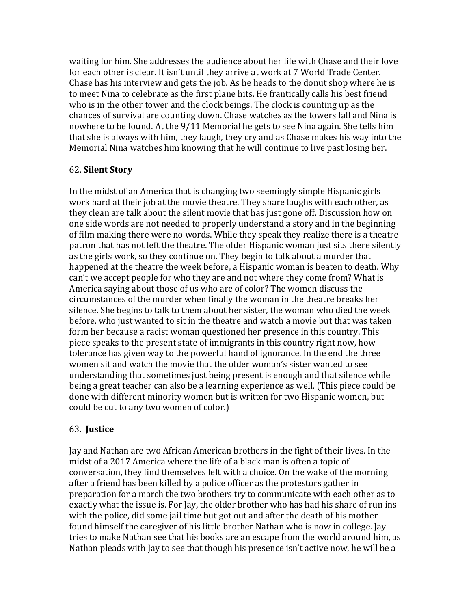waiting for him. She addresses the audience about her life with Chase and their love for each other is clear. It isn't until they arrive at work at 7 World Trade Center. Chase has his interview and gets the job. As he heads to the donut shop where he is to meet Nina to celebrate as the first plane hits. He frantically calls his best friend who is in the other tower and the clock beings. The clock is counting up as the chances of survival are counting down. Chase watches as the towers fall and Nina is nowhere to be found. At the 9/11 Memorial he gets to see Nina again. She tells him that she is always with him, they laugh, they cry and as Chase makes his way into the Memorial Nina watches him knowing that he will continue to live past losing her.

### 62. **Silent Story**

In the midst of an America that is changing two seemingly simple Hispanic girls work hard at their job at the movie theatre. They share laughs with each other, as they clean are talk about the silent movie that has just gone off. Discussion how on one side words are not needed to properly understand a story and in the beginning of film making there were no words. While they speak they realize there is a theatre patron that has not left the theatre. The older Hispanic woman just sits there silently as the girls work, so they continue on. They begin to talk about a murder that happened at the theatre the week before, a Hispanic woman is beaten to death. Why can't we accept people for who they are and not where they come from? What is America saying about those of us who are of color? The women discuss the circumstances of the murder when finally the woman in the theatre breaks her silence. She begins to talk to them about her sister, the woman who died the week before, who just wanted to sit in the theatre and watch a movie but that was taken form her because a racist woman questioned her presence in this country. This piece speaks to the present state of immigrants in this country right now, how tolerance has given way to the powerful hand of ignorance. In the end the three women sit and watch the movie that the older woman's sister wanted to see understanding that sometimes just being present is enough and that silence while being a great teacher can also be a learning experience as well. (This piece could be done with different minority women but is written for two Hispanic women, but could be cut to any two women of color.)

# 63. **Justice**

Jay and Nathan are two African American brothers in the fight of their lives. In the midst of a 2017 America where the life of a black man is often a topic of conversation, they find themselves left with a choice. On the wake of the morning after a friend has been killed by a police officer as the protestors gather in preparation for a march the two brothers try to communicate with each other as to exactly what the issue is. For Jay, the older brother who has had his share of run ins with the police, did some jail time but got out and after the death of his mother found himself the caregiver of his little brother Nathan who is now in college. Jay tries to make Nathan see that his books are an escape from the world around him, as Nathan pleads with Jay to see that though his presence isn't active now, he will be a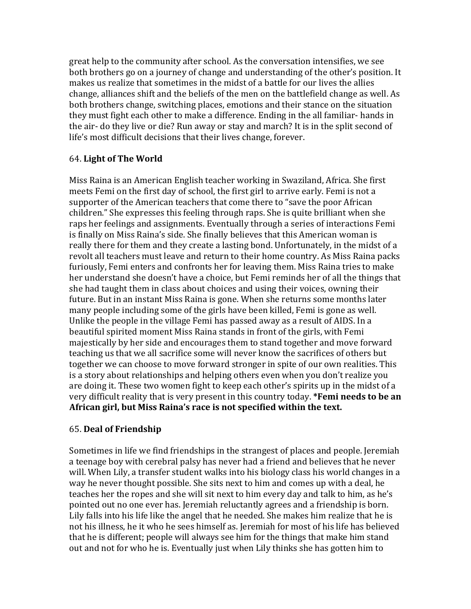great help to the community after school. As the conversation intensifies, we see both brothers go on a journey of change and understanding of the other's position. It makes us realize that sometimes in the midst of a battle for our lives the allies change, alliances shift and the beliefs of the men on the battlefield change as well. As both brothers change, switching places, emotions and their stance on the situation they must fight each other to make a difference. Ending in the all familiar- hands in the air- do they live or die? Run away or stay and march? It is in the split second of life's most difficult decisions that their lives change, forever.

# 64. **Light of The World**

Miss Raina is an American English teacher working in Swaziland, Africa. She first meets Femi on the first day of school, the first girl to arrive early. Femi is not a supporter of the American teachers that come there to "save the poor African children." She expresses this feeling through raps. She is quite brilliant when she raps her feelings and assignments. Eventually through a series of interactions Femi is finally on Miss Raina's side. She finally believes that this American woman is really there for them and they create a lasting bond. Unfortunately, in the midst of a revolt all teachers must leave and return to their home country. As Miss Raina packs furiously, Femi enters and confronts her for leaving them. Miss Raina tries to make her understand she doesn't have a choice, but Femi reminds her of all the things that she had taught them in class about choices and using their voices, owning their future. But in an instant Miss Raina is gone. When she returns some months later many people including some of the girls have been killed, Femi is gone as well. Unlike the people in the village Femi has passed away as a result of AIDS. In a beautiful spirited moment Miss Raina stands in front of the girls, with Femi majestically by her side and encourages them to stand together and move forward teaching us that we all sacrifice some will never know the sacrifices of others but together we can choose to move forward stronger in spite of our own realities. This is a story about relationships and helping others even when you don't realize you are doing it. These two women fight to keep each other's spirits up in the midst of a very difficult reality that is very present in this country today. **\*Femi needs to be an** African girl, but Miss Raina's race is not specified within the text.

# 65. **Deal of Friendship**

Sometimes in life we find friendships in the strangest of places and people. Jeremiah a teenage boy with cerebral palsy has never had a friend and believes that he never will. When Lily, a transfer student walks into his biology class his world changes in a way he never thought possible. She sits next to him and comes up with a deal, he teaches her the ropes and she will sit next to him every day and talk to him, as he's pointed out no one ever has. Jeremiah reluctantly agrees and a friendship is born. Lily falls into his life like the angel that he needed. She makes him realize that he is not his illness, he it who he sees himself as. Jeremiah for most of his life has believed that he is different; people will always see him for the things that make him stand out and not for who he is. Eventually just when Lily thinks she has gotten him to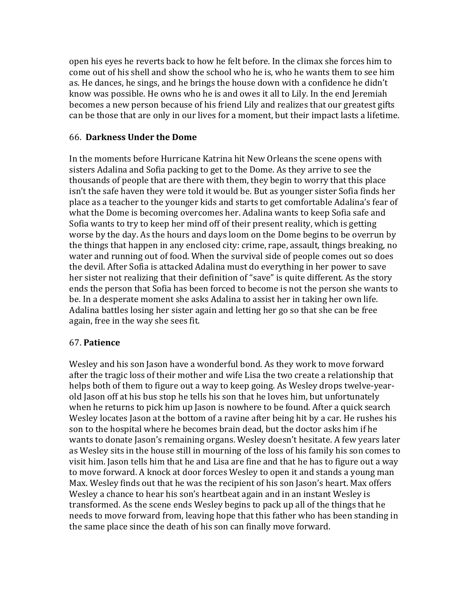open his eyes he reverts back to how he felt before. In the climax she forces him to come out of his shell and show the school who he is, who he wants them to see him as. He dances, he sings, and he brings the house down with a confidence he didn't know was possible. He owns who he is and owes it all to Lily. In the end Jeremiah becomes a new person because of his friend Lily and realizes that our greatest gifts can be those that are only in our lives for a moment, but their impact lasts a lifetime.

### 66. **Darkness Under the Dome**

In the moments before Hurricane Katrina hit New Orleans the scene opens with sisters Adalina and Sofia packing to get to the Dome. As they arrive to see the thousands of people that are there with them, they begin to worry that this place isn't the safe haven they were told it would be. But as younger sister Sofia finds her place as a teacher to the younger kids and starts to get comfortable Adalina's fear of what the Dome is becoming overcomes her. Adalina wants to keep Sofia safe and Sofia wants to try to keep her mind off of their present reality, which is getting worse by the day. As the hours and days loom on the Dome begins to be overrun by the things that happen in any enclosed city: crime, rape, assault, things breaking, no water and running out of food. When the survival side of people comes out so does the devil. After Sofia is attacked Adalina must do everything in her power to save her sister not realizing that their definition of "save" is quite different. As the story ends the person that Sofia has been forced to become is not the person she wants to be. In a desperate moment she asks Adalina to assist her in taking her own life. Adalina battles losing her sister again and letting her go so that she can be free again, free in the way she sees fit.

# 67. **Patience**

Wesley and his son Jason have a wonderful bond. As they work to move forward after the tragic loss of their mother and wife Lisa the two create a relationship that helps both of them to figure out a way to keep going. As Wesley drops twelve-yearold Jason off at his bus stop he tells his son that he loves him, but unfortunately when he returns to pick him up Jason is nowhere to be found. After a quick search Wesley locates Jason at the bottom of a ravine after being hit by a car. He rushes his son to the hospital where he becomes brain dead, but the doctor asks him if he wants to donate Jason's remaining organs. Wesley doesn't hesitate. A few years later as Wesley sits in the house still in mourning of the loss of his family his son comes to visit him. Jason tells him that he and Lisa are fine and that he has to figure out a way to move forward. A knock at door forces Wesley to open it and stands a young man Max. Wesley finds out that he was the recipient of his son Jason's heart. Max offers Wesley a chance to hear his son's heartbeat again and in an instant Wesley is transformed. As the scene ends Wesley begins to pack up all of the things that he needs to move forward from, leaving hope that this father who has been standing in the same place since the death of his son can finally move forward.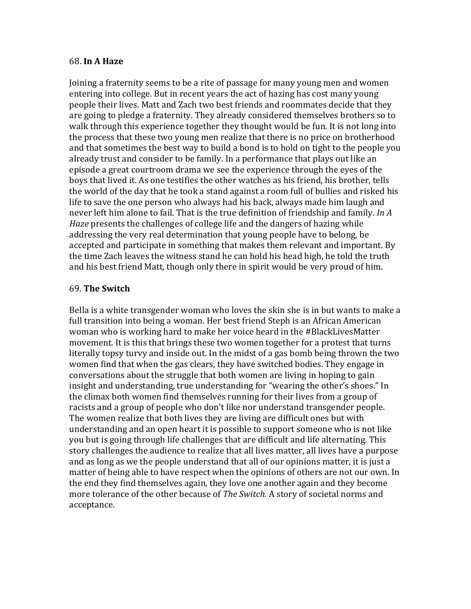### 68. **In A Haze**

Joining a fraternity seems to be a rite of passage for many young men and women entering into college. But in recent years the act of hazing has cost many young people their lives. Matt and Zach two best friends and roommates decide that they are going to pledge a fraternity. They already considered themselves brothers so to walk through this experience together they thought would be fun. It is not long into the process that these two young men realize that there is no price on brotherhood and that sometimes the best way to build a bond is to hold on tight to the people you already trust and consider to be family. In a performance that plays out like an episode a great courtroom drama we see the experience through the eyes of the boys that lived it. As one testifies the other watches as his friend, his brother, tells the world of the day that he took a stand against a room full of bullies and risked his life to save the one person who always had his back, always made him laugh and never left him alone to fail. That is the true definition of friendship and family. *In A Haze* presents the challenges of college life and the dangers of hazing while addressing the very real determination that young people have to belong, be accepted and participate in something that makes them relevant and important. By the time Zach leaves the witness stand he can hold his head high, he told the truth and his best friend Matt, though only there in spirit would be very proud of him.

### 69. **The Switch**

Bella is a white transgender woman who loves the skin she is in but wants to make a full transition into being a woman. Her best friend Steph is an African American woman who is working hard to make her voice heard in the #BlackLivesMatter movement. It is this that brings these two women together for a protest that turns literally topsy turvy and inside out. In the midst of a gas bomb being thrown the two women find that when the gas clears, they have switched bodies. They engage in conversations about the struggle that both women are living in hoping to gain insight and understanding, true understanding for "wearing the other's shoes." In the climax both women find themselves running for their lives from a group of racists and a group of people who don't like nor understand transgender people. The women realize that both lives they are living are difficult ones but with understanding and an open heart it is possible to support someone who is not like you but is going through life challenges that are difficult and life alternating. This story challenges the audience to realize that all lives matter, all lives have a purpose and as long as we the people understand that all of our opinions matter, it is just a matter of being able to have respect when the opinions of others are not our own. In the end they find themselves again, they love one another again and they become more tolerance of the other because of *The Switch*. A story of societal norms and acceptance.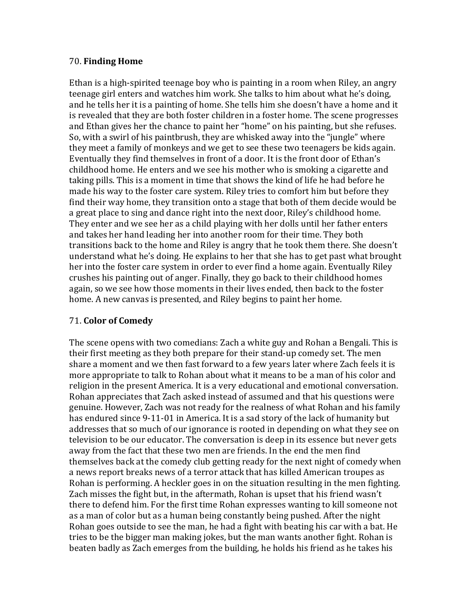## 70. **Finding Home**

Ethan is a high-spirited teenage boy who is painting in a room when Riley, an angry teenage girl enters and watches him work. She talks to him about what he's doing, and he tells her it is a painting of home. She tells him she doesn't have a home and it is revealed that they are both foster children in a foster home. The scene progresses and Ethan gives her the chance to paint her "home" on his painting, but she refuses. So, with a swirl of his paintbrush, they are whisked away into the "jungle" where they meet a family of monkeys and we get to see these two teenagers be kids again. Eventually they find themselves in front of a door. It is the front door of Ethan's childhood home. He enters and we see his mother who is smoking a cigarette and taking pills. This is a moment in time that shows the kind of life he had before he made his way to the foster care system. Riley tries to comfort him but before they find their way home, they transition onto a stage that both of them decide would be a great place to sing and dance right into the next door, Riley's childhood home. They enter and we see her as a child playing with her dolls until her father enters and takes her hand leading her into another room for their time. They both transitions back to the home and Riley is angry that he took them there. She doesn't understand what he's doing. He explains to her that she has to get past what brought her into the foster care system in order to ever find a home again. Eventually Riley crushes his painting out of anger. Finally, they go back to their childhood homes again, so we see how those moments in their lives ended, then back to the foster home. A new canvas is presented, and Riley begins to paint her home.

# 71. **Color of Comedy**

The scene opens with two comedians: Zach a white guy and Rohan a Bengali. This is their first meeting as they both prepare for their stand-up comedy set. The men share a moment and we then fast forward to a few years later where Zach feels it is more appropriate to talk to Rohan about what it means to be a man of his color and religion in the present America. It is a very educational and emotional conversation. Rohan appreciates that Zach asked instead of assumed and that his questions were genuine. However, Zach was not ready for the realness of what Rohan and his family has endured since 9-11-01 in America. It is a sad story of the lack of humanity but addresses that so much of our ignorance is rooted in depending on what they see on television to be our educator. The conversation is deep in its essence but never gets away from the fact that these two men are friends. In the end the men find themselves back at the comedy club getting ready for the next night of comedy when a news report breaks news of a terror attack that has killed American troupes as Rohan is performing. A heckler goes in on the situation resulting in the men fighting. Zach misses the fight but, in the aftermath, Rohan is upset that his friend wasn't there to defend him. For the first time Rohan expresses wanting to kill someone not as a man of color but as a human being constantly being pushed. After the night Rohan goes outside to see the man, he had a fight with beating his car with a bat. He tries to be the bigger man making jokes, but the man wants another fight. Rohan is beaten badly as Zach emerges from the building, he holds his friend as he takes his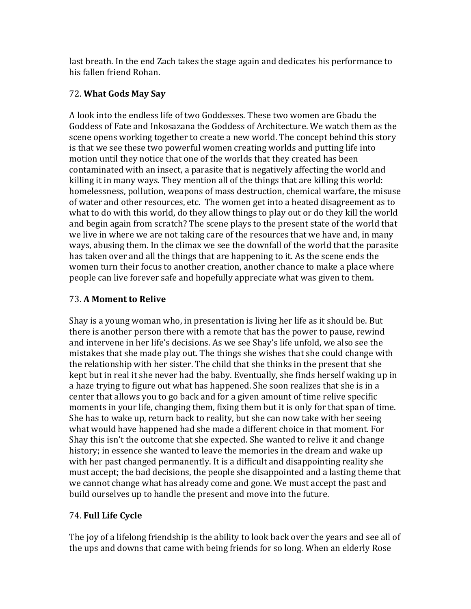last breath. In the end Zach takes the stage again and dedicates his performance to his fallen friend Rohan.

# 72. **What Gods May Say**

A look into the endless life of two Goddesses. These two women are Gbadu the Goddess of Fate and Inkosazana the Goddess of Architecture. We watch them as the scene opens working together to create a new world. The concept behind this story is that we see these two powerful women creating worlds and putting life into motion until they notice that one of the worlds that they created has been contaminated with an insect, a parasite that is negatively affecting the world and killing it in many ways. They mention all of the things that are killing this world: homelessness, pollution, weapons of mass destruction, chemical warfare, the misuse of water and other resources, etc. The women get into a heated disagreement as to what to do with this world, do they allow things to play out or do they kill the world and begin again from scratch? The scene plays to the present state of the world that we live in where we are not taking care of the resources that we have and, in many ways, abusing them. In the climax we see the downfall of the world that the parasite has taken over and all the things that are happening to it. As the scene ends the women turn their focus to another creation, another chance to make a place where people can live forever safe and hopefully appreciate what was given to them.

# 73. **A Moment to Relive**

Shay is a young woman who, in presentation is living her life as it should be. But there is another person there with a remote that has the power to pause, rewind and intervene in her life's decisions. As we see Shay's life unfold, we also see the mistakes that she made play out. The things she wishes that she could change with the relationship with her sister. The child that she thinks in the present that she kept but in real it she never had the baby. Eventually, she finds herself waking up in a haze trying to figure out what has happened. She soon realizes that she is in a center that allows you to go back and for a given amount of time relive specific moments in your life, changing them, fixing them but it is only for that span of time. She has to wake up, return back to reality, but she can now take with her seeing what would have happened had she made a different choice in that moment. For Shay this isn't the outcome that she expected. She wanted to relive it and change history; in essence she wanted to leave the memories in the dream and wake up with her past changed permanently. It is a difficult and disappointing reality she must accept; the bad decisions, the people she disappointed and a lasting theme that we cannot change what has already come and gone. We must accept the past and build ourselves up to handle the present and move into the future.

# 74. **Full Life Cycle**

The joy of a lifelong friendship is the ability to look back over the years and see all of the ups and downs that came with being friends for so long. When an elderly Rose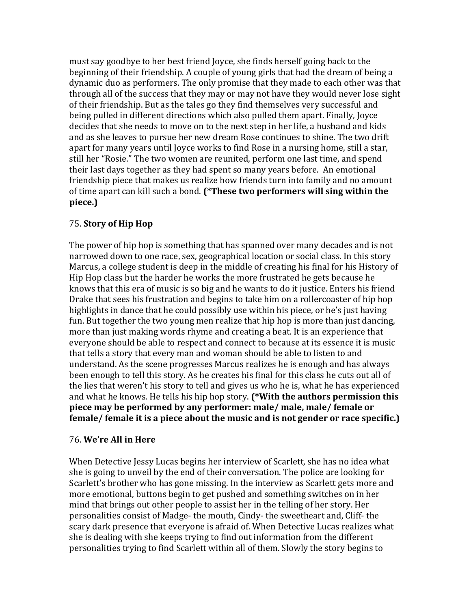must say goodbye to her best friend Joyce, she finds herself going back to the beginning of their friendship. A couple of young girls that had the dream of being a dynamic duo as performers. The only promise that they made to each other was that through all of the success that they may or may not have they would never lose sight of their friendship. But as the tales go they find themselves very successful and being pulled in different directions which also pulled them apart. Finally, Joyce decides that she needs to move on to the next step in her life, a husband and kids and as she leaves to pursue her new dream Rose continues to shine. The two drift apart for many years until Joyce works to find Rose in a nursing home, still a star, still her "Rosie." The two women are reunited, perform one last time, and spend their last days together as they had spent so many years before. An emotional friendship piece that makes us realize how friends turn into family and no amount of time apart can kill such a bond. (\*These two performers will sing within the **piece.)**

# 75. **Story of Hip Hop**

The power of hip hop is something that has spanned over many decades and is not narrowed down to one race, sex, geographical location or social class. In this story Marcus, a college student is deep in the middle of creating his final for his History of Hip Hop class but the harder he works the more frustrated he gets because he knows that this era of music is so big and he wants to do it justice. Enters his friend Drake that sees his frustration and begins to take him on a rollercoaster of hip hop highlights in dance that he could possibly use within his piece, or he's just having fun. But together the two young men realize that hip hop is more than just dancing, more than just making words rhyme and creating a beat. It is an experience that everyone should be able to respect and connect to because at its essence it is music that tells a story that every man and woman should be able to listen to and understand. As the scene progresses Marcus realizes he is enough and has always been enough to tell this story. As he creates his final for this class he cuts out all of the lies that weren't his story to tell and gives us who he is, what he has experienced and what he knows. He tells his hip hop story. (\*With the authors permission this piece may be performed by any performer: male/ male, male/ female or female/ female it is a piece about the music and is not gender or race specific.)

# 76. **We're All in Here**

When Detective Jessy Lucas begins her interview of Scarlett, she has no idea what she is going to unveil by the end of their conversation. The police are looking for Scarlett's brother who has gone missing. In the interview as Scarlett gets more and more emotional, buttons begin to get pushed and something switches on in her mind that brings out other people to assist her in the telling of her story. Her personalities consist of Madge- the mouth, Cindy- the sweetheart and, Cliff- the scary dark presence that everyone is afraid of. When Detective Lucas realizes what she is dealing with she keeps trying to find out information from the different personalities trying to find Scarlett within all of them. Slowly the story begins to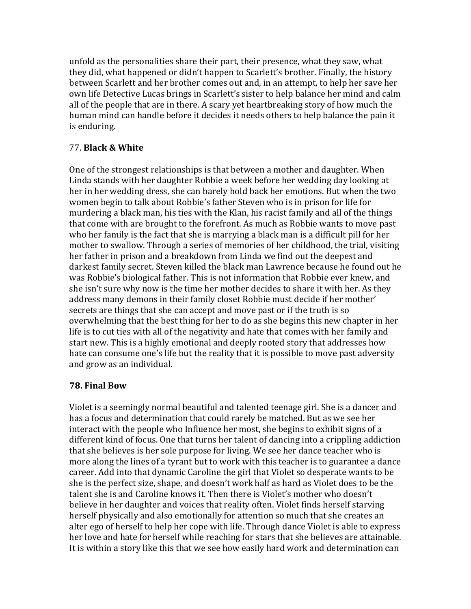unfold as the personalities share their part, their presence, what they saw, what they did, what happened or didn't happen to Scarlett's brother. Finally, the history between Scarlett and her brother comes out and, in an attempt, to help her save her own life Detective Lucas brings in Scarlett's sister to help balance her mind and calm all of the people that are in there. A scary yet heartbreaking story of how much the human mind can handle before it decides it needs others to help balance the pain it is enduring.

# 77. **Black & White**

One of the strongest relationships is that between a mother and daughter. When Linda stands with her daughter Robbie a week before her wedding day looking at her in her wedding dress, she can barely hold back her emotions. But when the two women begin to talk about Robbie's father Steven who is in prison for life for murdering a black man, his ties with the Klan, his racist family and all of the things that come with are brought to the forefront. As much as Robbie wants to move past who her family is the fact that she is marrying a black man is a difficult pill for her mother to swallow. Through a series of memories of her childhood, the trial, visiting her father in prison and a breakdown from Linda we find out the deepest and darkest family secret. Steven killed the black man Lawrence because he found out he was Robbie's biological father. This is not information that Robbie ever knew, and she isn't sure why now is the time her mother decides to share it with her. As they address many demons in their family closet Robbie must decide if her mother' secrets are things that she can accept and move past or if the truth is so overwhelming that the best thing for her to do as she begins this new chapter in her life is to cut ties with all of the negativity and hate that comes with her family and start new. This is a highly emotional and deeply rooted story that addresses how hate can consume one's life but the reality that it is possible to move past adversity and grow as an individual.

# **78. Final Bow**

Violet is a seemingly normal beautiful and talented teenage girl. She is a dancer and has a focus and determination that could rarely be matched. But as we see her interact with the people who Influence her most, she begins to exhibit signs of a different kind of focus. One that turns her talent of dancing into a crippling addiction that she believes is her sole purpose for living. We see her dance teacher who is more along the lines of a tyrant but to work with this teacher is to guarantee a dance career. Add into that dynamic Caroline the girl that Violet so desperate wants to be she is the perfect size, shape, and doesn't work half as hard as Violet does to be the talent she is and Caroline knows it. Then there is Violet's mother who doesn't believe in her daughter and voices that reality often. Violet finds herself starving herself physically and also emotionally for attention so much that she creates an alter ego of herself to help her cope with life. Through dance Violet is able to express her love and hate for herself while reaching for stars that she believes are attainable. It is within a story like this that we see how easily hard work and determination can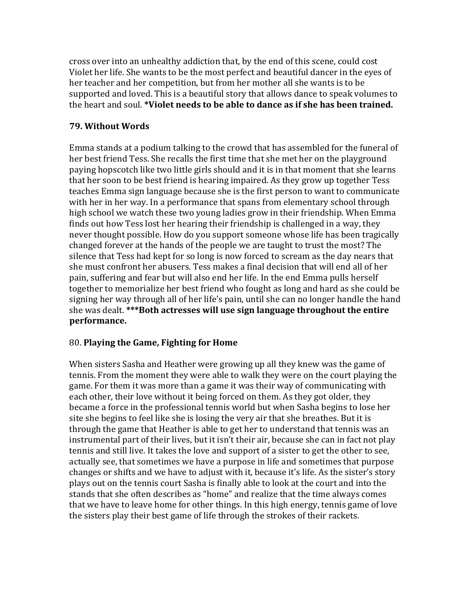cross over into an unhealthy addiction that, by the end of this scene, could cost Violet her life. She wants to be the most perfect and beautiful dancer in the eyes of her teacher and her competition, but from her mother all she wants is to be supported and loved. This is a beautiful story that allows dance to speak volumes to the heart and soul. **\*Violet needs to be able to dance as if she has been trained.** 

# **79. Without Words**

Emma stands at a podium talking to the crowd that has assembled for the funeral of her best friend Tess. She recalls the first time that she met her on the playground paying hopscotch like two little girls should and it is in that moment that she learns that her soon to be best friend is hearing impaired. As they grow up together Tess teaches Emma sign language because she is the first person to want to communicate with her in her way. In a performance that spans from elementary school through high school we watch these two young ladies grow in their friendship. When Emma finds out how Tess lost her hearing their friendship is challenged in a way, they never thought possible. How do you support someone whose life has been tragically changed forever at the hands of the people we are taught to trust the most? The silence that Tess had kept for so long is now forced to scream as the day nears that she must confront her abusers. Tess makes a final decision that will end all of her pain, suffering and fear but will also end her life. In the end Emma pulls herself together to memorialize her best friend who fought as long and hard as she could be signing her way through all of her life's pain, until she can no longer handle the hand she was dealt. \*\*\***Both actresses will use sign language throughout the entire performance.**

# 80. **Playing the Game, Fighting for Home**

When sisters Sasha and Heather were growing up all they knew was the game of tennis. From the moment they were able to walk they were on the court playing the game. For them it was more than a game it was their way of communicating with each other, their love without it being forced on them. As they got older, they became a force in the professional tennis world but when Sasha begins to lose her site she begins to feel like she is losing the very air that she breathes. But it is through the game that Heather is able to get her to understand that tennis was an instrumental part of their lives, but it isn't their air, because she can in fact not play tennis and still live. It takes the love and support of a sister to get the other to see, actually see, that sometimes we have a purpose in life and sometimes that purpose changes or shifts and we have to adjust with it, because it's life. As the sister's story plays out on the tennis court Sasha is finally able to look at the court and into the stands that she often describes as "home" and realize that the time always comes that we have to leave home for other things. In this high energy, tennis game of love the sisters play their best game of life through the strokes of their rackets.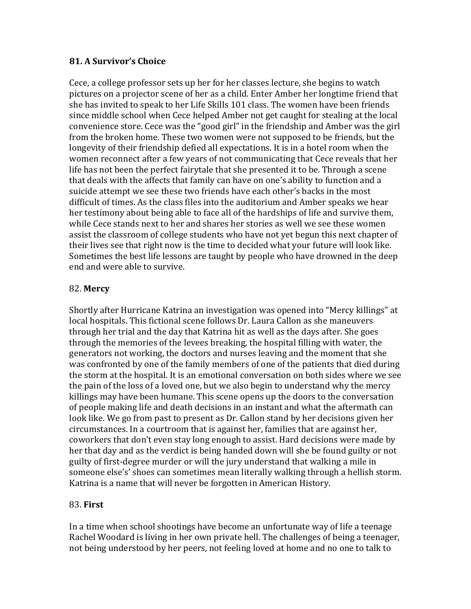# **81. A Survivor's Choice**

Cece, a college professor sets up her for her classes lecture, she begins to watch pictures on a projector scene of her as a child. Enter Amber her longtime friend that she has invited to speak to her Life Skills 101 class. The women have been friends since middle school when Cece helped Amber not get caught for stealing at the local convenience store. Cece was the "good girl" in the friendship and Amber was the girl from the broken home. These two women were not supposed to be friends, but the longevity of their friendship defied all expectations. It is in a hotel room when the women reconnect after a few years of not communicating that Cece reveals that her life has not been the perfect fairytale that she presented it to be. Through a scene that deals with the affects that family can have on one's ability to function and a suicide attempt we see these two friends have each other's backs in the most difficult of times. As the class files into the auditorium and Amber speaks we hear her testimony about being able to face all of the hardships of life and survive them, while Cece stands next to her and shares her stories as well we see these women assist the classroom of college students who have not vet begun this next chapter of their lives see that right now is the time to decided what your future will look like. Sometimes the best life lessons are taught by people who have drowned in the deep end and were able to survive.

# 82. **Mercy**

Shortly after Hurricane Katrina an investigation was opened into "Mercy killings" at local hospitals. This fictional scene follows Dr. Laura Callon as she maneuvers through her trial and the day that Katrina hit as well as the days after. She goes through the memories of the levees breaking, the hospital filling with water, the generators not working, the doctors and nurses leaving and the moment that she was confronted by one of the family members of one of the patients that died during the storm at the hospital. It is an emotional conversation on both sides where we see the pain of the loss of a loved one, but we also begin to understand why the mercy killings may have been humane. This scene opens up the doors to the conversation of people making life and death decisions in an instant and what the aftermath can look like. We go from past to present as Dr. Callon stand by her decisions given her circumstances. In a courtroom that is against her, families that are against her, coworkers that don't even stay long enough to assist. Hard decisions were made by her that day and as the verdict is being handed down will she be found guilty or not guilty of first-degree murder or will the jury understand that walking a mile in someone else's' shoes can sometimes mean literally walking through a hellish storm. Katrina is a name that will never be forgotten in American History.

# 83. **First**

In a time when school shootings have become an unfortunate way of life a teenage Rachel Woodard is living in her own private hell. The challenges of being a teenager, not being understood by her peers, not feeling loved at home and no one to talk to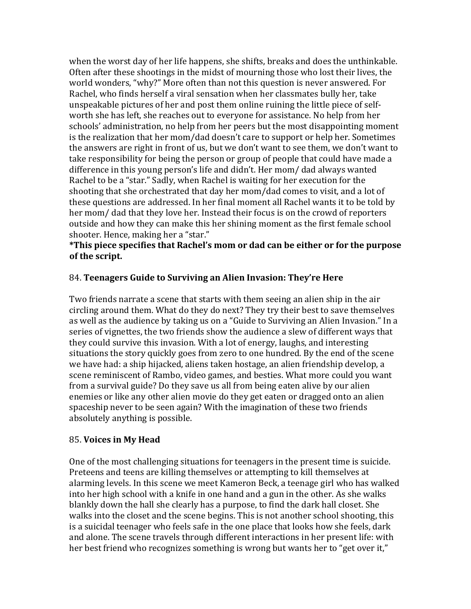when the worst day of her life happens, she shifts, breaks and does the unthinkable. Often after these shootings in the midst of mourning those who lost their lives, the world wonders, "why?" More often than not this question is never answered. For Rachel, who finds herself a viral sensation when her classmates bully her, take unspeakable pictures of her and post them online ruining the little piece of selfworth she has left, she reaches out to everyone for assistance. No help from her schools' administration, no help from her peers but the most disappointing moment is the realization that her mom/dad doesn't care to support or help her. Sometimes the answers are right in front of us, but we don't want to see them, we don't want to take responsibility for being the person or group of people that could have made a difference in this young person's life and didn't. Her mom/ dad always wanted Rachel to be a "star." Sadly, when Rachel is waiting for her execution for the shooting that she orchestrated that day her mom/dad comes to visit, and a lot of these questions are addressed. In her final moment all Rachel wants it to be told by her mom/ dad that they love her. Instead their focus is on the crowd of reporters outside and how they can make this her shining moment as the first female school shooter. Hence, making her a "star."

### \*This piece specifies that Rachel's mom or dad can be either or for the purpose of the script.

### 84. **Teenagers Guide to Surviving an Alien Invasion: They're Here**

Two friends narrate a scene that starts with them seeing an alien ship in the air circling around them. What do they do next? They try their best to save themselves as well as the audience by taking us on a "Guide to Surviving an Alien Invasion." In a series of vignettes, the two friends show the audience a slew of different ways that they could survive this invasion. With a lot of energy, laughs, and interesting situations the story quickly goes from zero to one hundred. By the end of the scene we have had: a ship hijacked, aliens taken hostage, an alien friendship develop, a scene reminiscent of Rambo, video games, and besties. What more could you want from a survival guide? Do they save us all from being eaten alive by our alien enemies or like any other alien movie do they get eaten or dragged onto an alien spaceship never to be seen again? With the imagination of these two friends absolutely anything is possible.

### 85. **Voices in My Head**

One of the most challenging situations for teenagers in the present time is suicide. Preteens and teens are killing themselves or attempting to kill themselves at alarming levels. In this scene we meet Kameron Beck, a teenage girl who has walked into her high school with a knife in one hand and a gun in the other. As she walks blankly down the hall she clearly has a purpose, to find the dark hall closet. She walks into the closet and the scene begins. This is not another school shooting, this is a suicidal teenager who feels safe in the one place that looks how she feels, dark and alone. The scene travels through different interactions in her present life: with her best friend who recognizes something is wrong but wants her to "get over it,"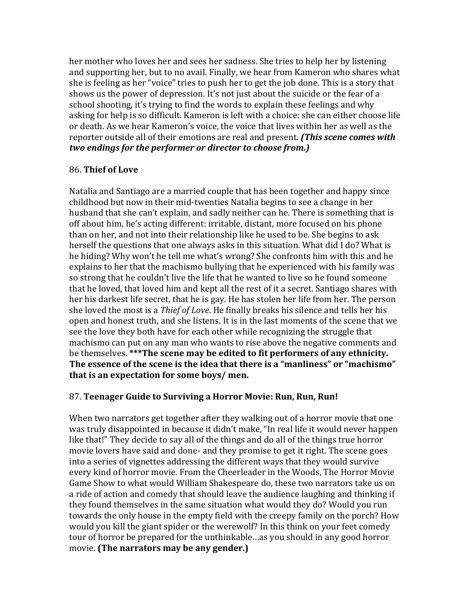her mother who loves her and sees her sadness. She tries to help her by listening and supporting her, but to no avail. Finally, we hear from Kameron who shares what she is feeling as her "voice" tries to push her to get the job done. This is a story that shows us the power of depression. It's not just about the suicide or the fear of a school shooting, it's trying to find the words to explain these feelings and why asking for help is so difficult. Kameron is left with a choice: she can either choose life or death. As we hear Kameron's voice, the voice that lives within her as well as the reporter outside all of their emotions are real and present. *(This scene comes with two endings for the performer or director to choose from.)* 

# 86. **Thief of Love**

Natalia and Santiago are a married couple that has been together and happy since childhood but now in their mid-twenties Natalia begins to see a change in her husband that she can't explain, and sadly neither can he. There is something that is off about him, he's acting different: irritable, distant, more focused on his phone than on her, and not into their relationship like he used to be. She begins to ask herself the questions that one always asks in this situation. What did I do? What is he hiding? Why won't he tell me what's wrong? She confronts him with this and he explains to her that the machismo bullying that he experienced with his family was so strong that he couldn't live the life that he wanted to live so he found someone that he loved, that loved him and kept all the rest of it a secret. Santiago shares with her his darkest life secret, that he is gay. He has stolen her life from her. The person she loved the most is a *Thief of Love*. He finally breaks his silence and tells her his open and honest truth, and she listens. It is in the last moments of the scene that we see the love they both have for each other while recognizing the struggle that machismo can put on any man who wants to rise above the negative comments and be themselves. \*\*\*The scene may be edited to fit performers of any ethnicity. The essence of the scene is the idea that there is a "manliness" or "machismo" that is an expectation for some boys/ men.

# 87. Teenager Guide to Surviving a Horror Movie: Run, Run, Run!

When two narrators get together after they walking out of a horror movie that one was truly disappointed in because it didn't make, "In real life it would never happen like that!" They decide to say all of the things and do all of the things true horror movie lovers have said and done- and they promise to get it right. The scene goes into a series of vignettes addressing the different ways that they would survive every kind of horror movie. From the Cheerleader in the Woods, The Horror Movie Game Show to what would William Shakespeare do, these two narrators take us on a ride of action and comedy that should leave the audience laughing and thinking if they found themselves in the same situation what would they do? Would you run towards the only house in the empty field with the creepy family on the porch? How would you kill the giant spider or the werewolf? In this think on your feet comedy tour of horror be prepared for the unthinkable…as you should in any good horror movie. **(The narrators may be any gender.)**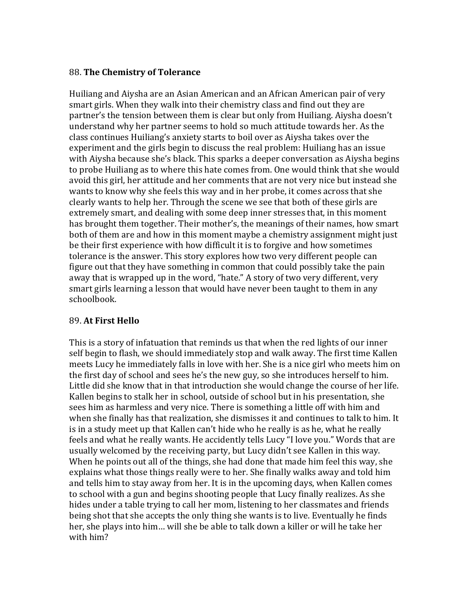### 88. **The Chemistry of Tolerance**

Huiliang and Aiysha are an Asian American and an African American pair of very smart girls. When they walk into their chemistry class and find out they are partner's the tension between them is clear but only from Huiliang. Aiysha doesn't understand why her partner seems to hold so much attitude towards her. As the class continues Huiliang's anxiety starts to boil over as Aiysha takes over the experiment and the girls begin to discuss the real problem: Huiliang has an issue with Aiysha because she's black. This sparks a deeper conversation as Aiysha begins to probe Huiliang as to where this hate comes from. One would think that she would avoid this girl, her attitude and her comments that are not very nice but instead she wants to know why she feels this way and in her probe, it comes across that she clearly wants to help her. Through the scene we see that both of these girls are extremely smart, and dealing with some deep inner stresses that, in this moment has brought them together. Their mother's, the meanings of their names, how smart both of them are and how in this moment maybe a chemistry assignment might just be their first experience with how difficult it is to forgive and how sometimes tolerance is the answer. This story explores how two very different people can figure out that they have something in common that could possibly take the pain away that is wrapped up in the word, "hate." A story of two very different, very smart girls learning a lesson that would have never been taught to them in any schoolbook. 

# 89. **At First Hello**

This is a story of infatuation that reminds us that when the red lights of our inner self begin to flash, we should immediately stop and walk away. The first time Kallen meets Lucy he immediately falls in love with her. She is a nice girl who meets him on the first day of school and sees he's the new guy, so she introduces herself to him. Little did she know that in that introduction she would change the course of her life. Kallen begins to stalk her in school, outside of school but in his presentation, she sees him as harmless and very nice. There is something a little off with him and when she finally has that realization, she dismisses it and continues to talk to him. It is in a study meet up that Kallen can't hide who he really is as he, what he really feels and what he really wants. He accidently tells Lucy "I love you." Words that are usually welcomed by the receiving party, but Lucy didn't see Kallen in this way. When he points out all of the things, she had done that made him feel this way, she explains what those things really were to her. She finally walks away and told him and tells him to stay away from her. It is in the upcoming days, when Kallen comes to school with a gun and begins shooting people that Lucy finally realizes. As she hides under a table trying to call her mom, listening to her classmates and friends being shot that she accepts the only thing she wants is to live. Eventually he finds her, she plays into him... will she be able to talk down a killer or will he take her with him?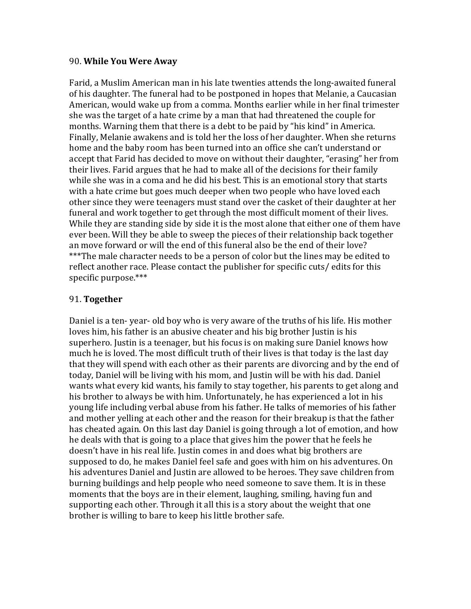### 90. **While You Were Away**

Farid, a Muslim American man in his late twenties attends the long-awaited funeral of his daughter. The funeral had to be postponed in hopes that Melanie, a Caucasian American, would wake up from a comma. Months earlier while in her final trimester she was the target of a hate crime by a man that had threatened the couple for months. Warning them that there is a debt to be paid by "his kind" in America. Finally, Melanie awakens and is told her the loss of her daughter. When she returns home and the baby room has been turned into an office she can't understand or accept that Farid has decided to move on without their daughter, "erasing" her from their lives. Farid argues that he had to make all of the decisions for their family while she was in a coma and he did his best. This is an emotional story that starts with a hate crime but goes much deeper when two people who have loved each other since they were teenagers must stand over the casket of their daughter at her funeral and work together to get through the most difficult moment of their lives. While they are standing side by side it is the most alone that either one of them have ever been. Will they be able to sweep the pieces of their relationship back together an move forward or will the end of this funeral also be the end of their love? \*\*\*The male character needs to be a person of color but the lines may be edited to reflect another race. Please contact the publisher for specific cuts/ edits for this specific purpose.\*\*\*

### 91. **Together**

Daniel is a ten-year- old boy who is very aware of the truths of his life. His mother loves him, his father is an abusive cheater and his big brother Justin is his superhero. Justin is a teenager, but his focus is on making sure Daniel knows how much he is loved. The most difficult truth of their lives is that today is the last day that they will spend with each other as their parents are divorcing and by the end of today, Daniel will be living with his mom, and Justin will be with his dad. Daniel wants what every kid wants, his family to stay together, his parents to get along and his brother to always be with him. Unfortunately, he has experienced a lot in his young life including verbal abuse from his father. He talks of memories of his father and mother yelling at each other and the reason for their breakup is that the father has cheated again. On this last day Daniel is going through a lot of emotion, and how he deals with that is going to a place that gives him the power that he feels he doesn't have in his real life. Justin comes in and does what big brothers are supposed to do, he makes Daniel feel safe and goes with him on his adventures. On his adventures Daniel and Justin are allowed to be heroes. They save children from burning buildings and help people who need someone to save them. It is in these moments that the boys are in their element, laughing, smiling, having fun and supporting each other. Through it all this is a story about the weight that one brother is willing to bare to keep his little brother safe.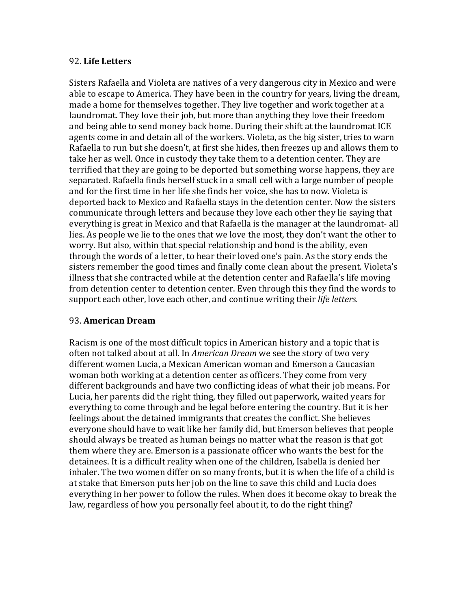### 92. **Life Letters**

Sisters Rafaella and Violeta are natives of a very dangerous city in Mexico and were able to escape to America. They have been in the country for years, living the dream, made a home for themselves together. They live together and work together at a laundromat. They love their job, but more than anything they love their freedom and being able to send money back home. During their shift at the laundromat ICE agents come in and detain all of the workers. Violeta, as the big sister, tries to warn Rafaella to run but she doesn't, at first she hides, then freezes up and allows them to take her as well. Once in custody they take them to a detention center. They are terrified that they are going to be deported but something worse happens, they are separated. Rafaella finds herself stuck in a small cell with a large number of people and for the first time in her life she finds her voice, she has to now. Violeta is deported back to Mexico and Rafaella stays in the detention center. Now the sisters communicate through letters and because they love each other they lie saying that everything is great in Mexico and that Rafaella is the manager at the laundromat- all lies. As people we lie to the ones that we love the most, they don't want the other to worry. But also, within that special relationship and bond is the ability, even through the words of a letter, to hear their loved one's pain. As the story ends the sisters remember the good times and finally come clean about the present. Violeta's illness that she contracted while at the detention center and Rafaella's life moving from detention center to detention center. Even through this they find the words to support each other, love each other, and continue writing their *life letters.* 

### 93. **American Dream**

Racism is one of the most difficult topics in American history and a topic that is often not talked about at all. In *American Dream* we see the story of two very different women Lucia, a Mexican American woman and Emerson a Caucasian woman both working at a detention center as officers. They come from very different backgrounds and have two conflicting ideas of what their job means. For Lucia, her parents did the right thing, they filled out paperwork, waited years for everything to come through and be legal before entering the country. But it is her feelings about the detained immigrants that creates the conflict. She believes everyone should have to wait like her family did, but Emerson believes that people should always be treated as human beings no matter what the reason is that got them where they are. Emerson is a passionate officer who wants the best for the detainees. It is a difficult reality when one of the children, Isabella is denied her inhaler. The two women differ on so many fronts, but it is when the life of a child is at stake that Emerson puts her job on the line to save this child and Lucia does everything in her power to follow the rules. When does it become okay to break the law, regardless of how you personally feel about it, to do the right thing?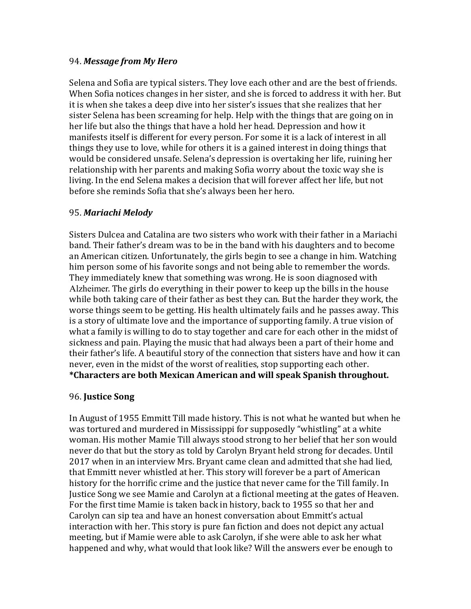### 94. *Message from My Hero*

Selena and Sofia are typical sisters. They love each other and are the best of friends. When Sofia notices changes in her sister, and she is forced to address it with her. But it is when she takes a deep dive into her sister's issues that she realizes that her sister Selena has been screaming for help. Help with the things that are going on in her life but also the things that have a hold her head. Depression and how it manifests itself is different for every person. For some it is a lack of interest in all things they use to love, while for others it is a gained interest in doing things that would be considered unsafe. Selena's depression is overtaking her life, ruining her relationship with her parents and making Sofia worry about the toxic way she is living. In the end Selena makes a decision that will forever affect her life, but not before she reminds Sofia that she's always been her hero.

### 95. *Mariachi Melody*

Sisters Dulcea and Catalina are two sisters who work with their father in a Mariachi band. Their father's dream was to be in the band with his daughters and to become an American citizen. Unfortunately, the girls begin to see a change in him. Watching him person some of his favorite songs and not being able to remember the words. They immediately knew that something was wrong. He is soon diagnosed with Alzheimer. The girls do everything in their power to keep up the bills in the house while both taking care of their father as best they can. But the harder they work, the worse things seem to be getting. His health ultimately fails and he passes away. This is a story of ultimate love and the importance of supporting family. A true vision of what a family is willing to do to stay together and care for each other in the midst of sickness and pain. Playing the music that had always been a part of their home and their father's life. A beautiful story of the connection that sisters have and how it can never, even in the midst of the worst of realities, stop supporting each other. **\*Characters are both Mexican American and will speak Spanish throughout.**

### 96. **Justice Song**

In August of 1955 Emmitt Till made history. This is not what he wanted but when he was tortured and murdered in Mississippi for supposedly "whistling" at a white woman. His mother Mamie Till always stood strong to her belief that her son would never do that but the story as told by Carolyn Bryant held strong for decades. Until 2017 when in an interview Mrs. Bryant came clean and admitted that she had lied, that Emmitt never whistled at her. This story will forever be a part of American history for the horrific crime and the justice that never came for the Till family. In Justice Song we see Mamie and Carolyn at a fictional meeting at the gates of Heaven. For the first time Mamie is taken back in history, back to 1955 so that her and Carolyn can sip tea and have an honest conversation about Emmitt's actual interaction with her. This story is pure fan fiction and does not depict any actual meeting, but if Mamie were able to ask Carolyn, if she were able to ask her what happened and why, what would that look like? Will the answers ever be enough to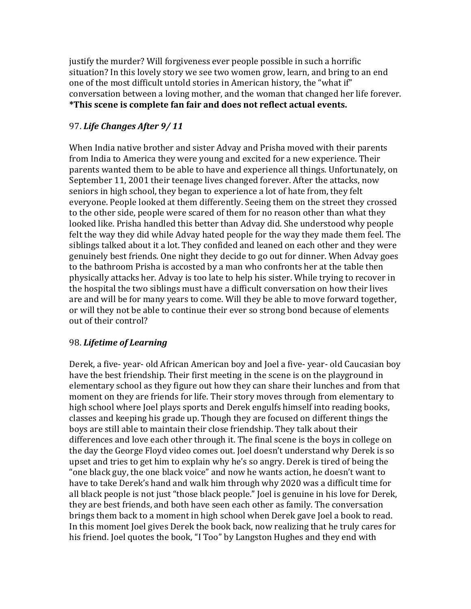justify the murder? Will forgiveness ever people possible in such a horrific situation? In this lovely story we see two women grow, learn, and bring to an end one of the most difficult untold stories in American history, the "what if" conversation between a loving mother, and the woman that changed her life forever. \*This scene is complete fan fair and does not reflect actual events.

# 97. *Life Changes After 9/ 11*

When India native brother and sister Advay and Prisha moved with their parents from India to America they were young and excited for a new experience. Their parents wanted them to be able to have and experience all things. Unfortunately, on September 11, 2001 their teenage lives changed forever. After the attacks, now seniors in high school, they began to experience a lot of hate from, they felt everyone. People looked at them differently. Seeing them on the street they crossed to the other side, people were scared of them for no reason other than what they looked like. Prisha handled this better than Advay did. She understood why people felt the way they did while Advay hated people for the way they made them feel. The siblings talked about it a lot. They confided and leaned on each other and they were genuinely best friends. One night they decide to go out for dinner. When Advay goes to the bathroom Prisha is accosted by a man who confronts her at the table then physically attacks her. Advay is too late to help his sister. While trying to recover in the hospital the two siblings must have a difficult conversation on how their lives are and will be for many years to come. Will they be able to move forward together, or will they not be able to continue their ever so strong bond because of elements out of their control?

# 98. *Lifetime of Learning*

Derek, a five- year- old African American boy and Joel a five- year- old Caucasian boy have the best friendship. Their first meeting in the scene is on the playground in elementary school as they figure out how they can share their lunches and from that moment on they are friends for life. Their story moves through from elementary to high school where Joel plays sports and Derek engulfs himself into reading books, classes and keeping his grade up. Though they are focused on different things the boys are still able to maintain their close friendship. They talk about their differences and love each other through it. The final scene is the boys in college on the day the George Floyd video comes out. Joel doesn't understand why Derek is so upset and tries to get him to explain why he's so angry. Derek is tired of being the "one black guy, the one black voice" and now he wants action, he doesn't want to have to take Derek's hand and walk him through why 2020 was a difficult time for all black people is not just "those black people." Joel is genuine in his love for Derek, they are best friends, and both have seen each other as family. The conversation brings them back to a moment in high school when Derek gave Joel a book to read. In this moment Joel gives Derek the book back, now realizing that he truly cares for his friend. Joel quotes the book, "I Too" by Langston Hughes and they end with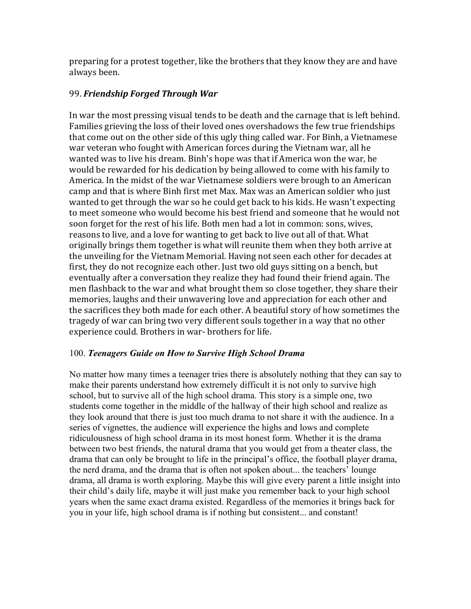preparing for a protest together, like the brothers that they know they are and have always been.

## 99. Friendship Forged Through War

In war the most pressing visual tends to be death and the carnage that is left behind. Families grieving the loss of their loved ones overshadows the few true friendships that come out on the other side of this ugly thing called war. For Binh, a Vietnamese war veteran who fought with American forces during the Vietnam war, all he wanted was to live his dream. Binh's hope was that if America won the war, he would be rewarded for his dedication by being allowed to come with his family to America. In the midst of the war Vietnamese soldiers were brough to an American camp and that is where Binh first met Max. Max was an American soldier who just wanted to get through the war so he could get back to his kids. He wasn't expecting to meet someone who would become his best friend and someone that he would not soon forget for the rest of his life. Both men had a lot in common: sons, wives, reasons to live, and a love for wanting to get back to live out all of that. What originally brings them together is what will reunite them when they both arrive at the unveiling for the Vietnam Memorial. Having not seen each other for decades at first, they do not recognize each other. Just two old guys sitting on a bench, but eventually after a conversation they realize they had found their friend again. The men flashback to the war and what brought them so close together, they share their memories, laughs and their unwavering love and appreciation for each other and the sacrifices they both made for each other. A beautiful story of how sometimes the tragedy of war can bring two very different souls together in a way that no other experience could. Brothers in war- brothers for life.

### 100. *Teenagers Guide on How to Survive High School Drama*

No matter how many times a teenager tries there is absolutely nothing that they can say to make their parents understand how extremely difficult it is not only to survive high school, but to survive all of the high school drama. This story is a simple one, two students come together in the middle of the hallway of their high school and realize as they look around that there is just too much drama to not share it with the audience. In a series of vignettes, the audience will experience the highs and lows and complete ridiculousness of high school drama in its most honest form. Whether it is the drama between two best friends, the natural drama that you would get from a theater class, the drama that can only be brought to life in the principal's office, the football player drama, the nerd drama, and the drama that is often not spoken about... the teachers' lounge drama, all drama is worth exploring. Maybe this will give every parent a little insight into their child's daily life, maybe it will just make you remember back to your high school years when the same exact drama existed. Regardless of the memories it brings back for you in your life, high school drama is if nothing but consistent... and constant!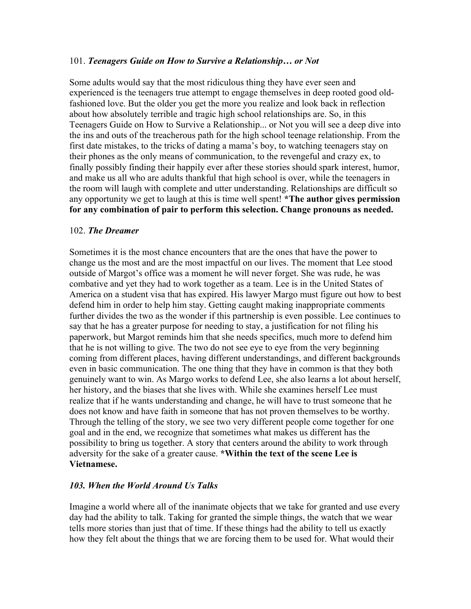### 101. *Teenagers Guide on How to Survive a Relationship… or Not*

Some adults would say that the most ridiculous thing they have ever seen and experienced is the teenagers true attempt to engage themselves in deep rooted good oldfashioned love. But the older you get the more you realize and look back in reflection about how absolutely terrible and tragic high school relationships are. So, in this Teenagers Guide on How to Survive a Relationship... or Not you will see a deep dive into the ins and outs of the treacherous path for the high school teenage relationship. From the first date mistakes, to the tricks of dating a mama's boy, to watching teenagers stay on their phones as the only means of communication, to the revengeful and crazy ex, to finally possibly finding their happily ever after these stories should spark interest, humor, and make us all who are adults thankful that high school is over, while the teenagers in the room will laugh with complete and utter understanding. Relationships are difficult so any opportunity we get to laugh at this is time well spent! **\*The author gives permission for any combination of pair to perform this selection. Change pronouns as needed.**

### 102. *The Dreamer*

Sometimes it is the most chance encounters that are the ones that have the power to change us the most and are the most impactful on our lives. The moment that Lee stood outside of Margot's office was a moment he will never forget. She was rude, he was combative and yet they had to work together as a team. Lee is in the United States of America on a student visa that has expired. His lawyer Margo must figure out how to best defend him in order to help him stay. Getting caught making inappropriate comments further divides the two as the wonder if this partnership is even possible. Lee continues to say that he has a greater purpose for needing to stay, a justification for not filing his paperwork, but Margot reminds him that she needs specifics, much more to defend him that he is not willing to give. The two do not see eye to eye from the very beginning coming from different places, having different understandings, and different backgrounds even in basic communication. The one thing that they have in common is that they both genuinely want to win. As Margo works to defend Lee, she also learns a lot about herself, her history, and the biases that she lives with. While she examines herself Lee must realize that if he wants understanding and change, he will have to trust someone that he does not know and have faith in someone that has not proven themselves to be worthy. Through the telling of the story, we see two very different people come together for one goal and in the end, we recognize that sometimes what makes us different has the possibility to bring us together. A story that centers around the ability to work through adversity for the sake of a greater cause. **\*Within the text of the scene Lee is Vietnamese.** 

### *103. When the World Around Us Talks*

Imagine a world where all of the inanimate objects that we take for granted and use every day had the ability to talk. Taking for granted the simple things, the watch that we wear tells more stories than just that of time. If these things had the ability to tell us exactly how they felt about the things that we are forcing them to be used for. What would their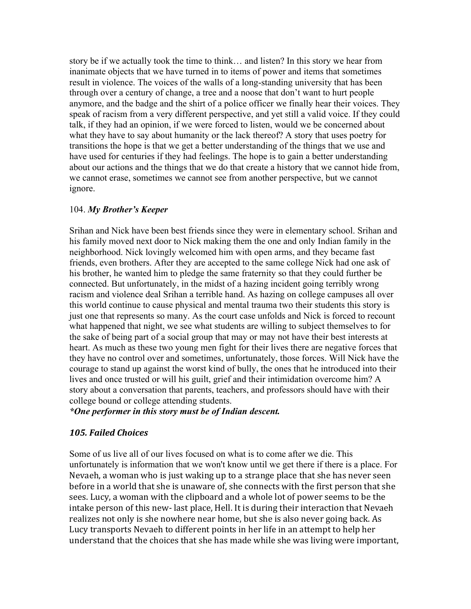story be if we actually took the time to think… and listen? In this story we hear from inanimate objects that we have turned in to items of power and items that sometimes result in violence. The voices of the walls of a long-standing university that has been through over a century of change, a tree and a noose that don't want to hurt people anymore, and the badge and the shirt of a police officer we finally hear their voices. They speak of racism from a very different perspective, and yet still a valid voice. If they could talk, if they had an opinion, if we were forced to listen, would we be concerned about what they have to say about humanity or the lack thereof? A story that uses poetry for transitions the hope is that we get a better understanding of the things that we use and have used for centuries if they had feelings. The hope is to gain a better understanding about our actions and the things that we do that create a history that we cannot hide from, we cannot erase, sometimes we cannot see from another perspective, but we cannot ignore.

### 104. *My Brother's Keeper*

Srihan and Nick have been best friends since they were in elementary school. Srihan and his family moved next door to Nick making them the one and only Indian family in the neighborhood. Nick lovingly welcomed him with open arms, and they became fast friends, even brothers. After they are accepted to the same college Nick had one ask of his brother, he wanted him to pledge the same fraternity so that they could further be connected. But unfortunately, in the midst of a hazing incident going terribly wrong racism and violence deal Srihan a terrible hand. As hazing on college campuses all over this world continue to cause physical and mental trauma two their students this story is just one that represents so many. As the court case unfolds and Nick is forced to recount what happened that night, we see what students are willing to subject themselves to for the sake of being part of a social group that may or may not have their best interests at heart. As much as these two young men fight for their lives there are negative forces that they have no control over and sometimes, unfortunately, those forces. Will Nick have the courage to stand up against the worst kind of bully, the ones that he introduced into their lives and once trusted or will his guilt, grief and their intimidation overcome him? A story about a conversation that parents, teachers, and professors should have with their college bound or college attending students.

### *\*One performer in this story must be of Indian descent.*

### *105. Failed Choices*

Some of us live all of our lives focused on what is to come after we die. This unfortunately is information that we won't know until we get there if there is a place. For Nevaeh, a woman who is just waking up to a strange place that she has never seen before in a world that she is unaware of, she connects with the first person that she sees. Lucy, a woman with the clipboard and a whole lot of power seems to be the intake person of this new-last place, Hell. It is during their interaction that Nevaeh realizes not only is she nowhere near home, but she is also never going back. As Lucy transports Nevaeh to different points in her life in an attempt to help her understand that the choices that she has made while she was living were important,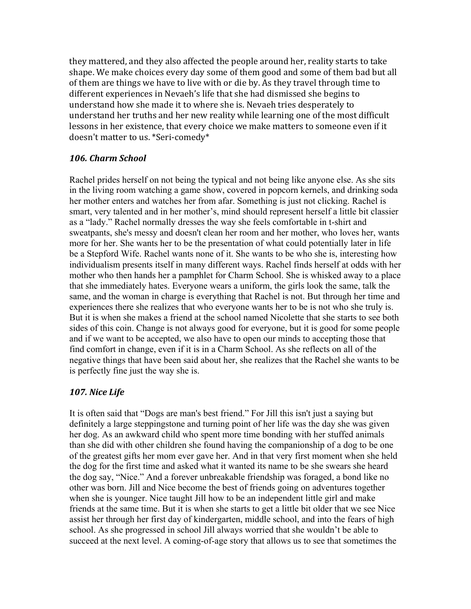they mattered, and they also affected the people around her, reality starts to take shape. We make choices every day some of them good and some of them bad but all of them are things we have to live with or die by. As they travel through time to different experiences in Nevaeh's life that she had dismissed she begins to understand how she made it to where she is. Nevaeh tries desperately to understand her truths and her new reality while learning one of the most difficult lessons in her existence, that every choice we make matters to someone even if it doesn't matter to us. \*Seri-comedy\*

### *106. Charm School*

Rachel prides herself on not being the typical and not being like anyone else. As she sits in the living room watching a game show, covered in popcorn kernels, and drinking soda her mother enters and watches her from afar. Something is just not clicking. Rachel is smart, very talented and in her mother's, mind should represent herself a little bit classier as a "lady." Rachel normally dresses the way she feels comfortable in t-shirt and sweatpants, she's messy and doesn't clean her room and her mother, who loves her, wants more for her. She wants her to be the presentation of what could potentially later in life be a Stepford Wife. Rachel wants none of it. She wants to be who she is, interesting how individualism presents itself in many different ways. Rachel finds herself at odds with her mother who then hands her a pamphlet for Charm School. She is whisked away to a place that she immediately hates. Everyone wears a uniform, the girls look the same, talk the same, and the woman in charge is everything that Rachel is not. But through her time and experiences there she realizes that who everyone wants her to be is not who she truly is. But it is when she makes a friend at the school named Nicolette that she starts to see both sides of this coin. Change is not always good for everyone, but it is good for some people and if we want to be accepted, we also have to open our minds to accepting those that find comfort in change, even if it is in a Charm School. As she reflects on all of the negative things that have been said about her, she realizes that the Rachel she wants to be is perfectly fine just the way she is.

### *107. Nice Life*

It is often said that "Dogs are man's best friend." For Jill this isn't just a saying but definitely a large steppingstone and turning point of her life was the day she was given her dog. As an awkward child who spent more time bonding with her stuffed animals than she did with other children she found having the companionship of a dog to be one of the greatest gifts her mom ever gave her. And in that very first moment when she held the dog for the first time and asked what it wanted its name to be she swears she heard the dog say, "Nice." And a forever unbreakable friendship was foraged, a bond like no other was born. Jill and Nice become the best of friends going on adventures together when she is younger. Nice taught Jill how to be an independent little girl and make friends at the same time. But it is when she starts to get a little bit older that we see Nice assist her through her first day of kindergarten, middle school, and into the fears of high school. As she progressed in school Jill always worried that she wouldn't be able to succeed at the next level. A coming-of-age story that allows us to see that sometimes the